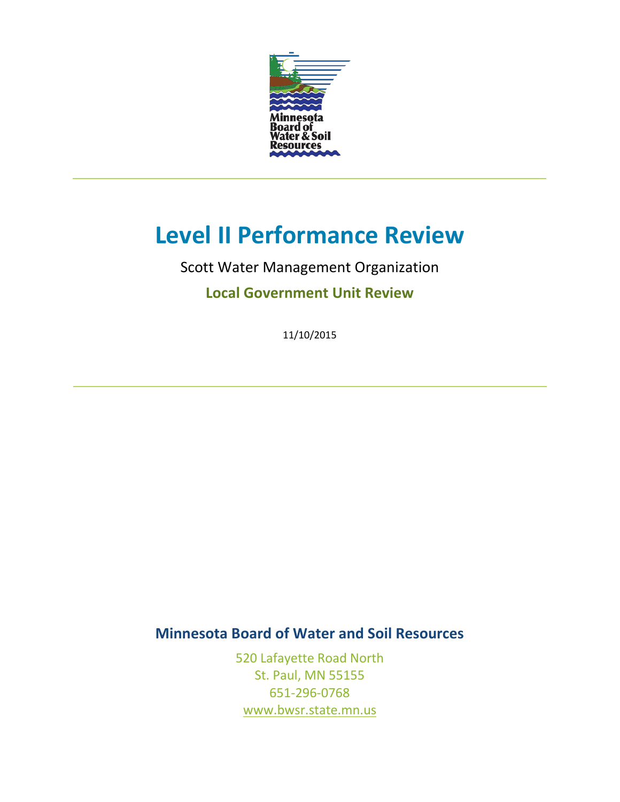

# **Level II Performance Review**

Scott Water Management Organization

## **Local Government Unit Review**

11/10/2015

**Minnesota Board of Water and Soil Resources**

520 Lafayette Road North St. Paul, MN 55155 651-296-0768 [www.bwsr.state.mn.us](http://www.bwsr.state.mn.us/)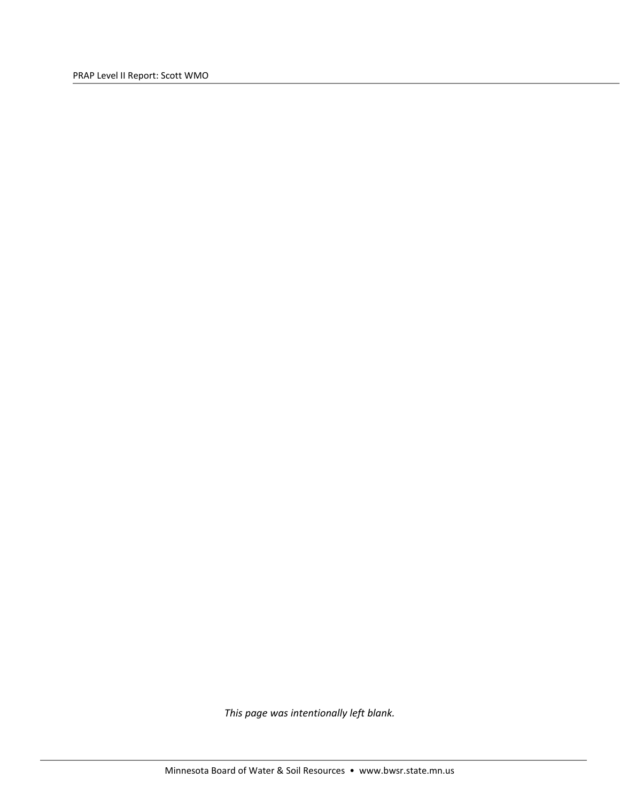*This page was intentionally left blank.*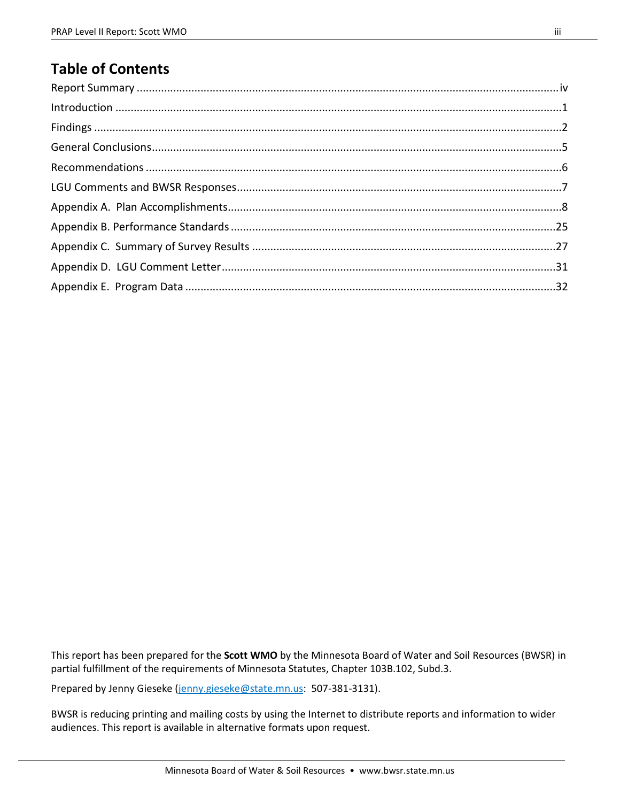## **Table of Contents**

| $\label{lem:1} \mbox{Introduction} \,\, \ldots \,\, \ldots \,\, \ldots \,\, \ldots \,\, \ldots \,\, \ldots \,\, \ldots \,\, \ldots \,\, \ldots \,\, \ldots \,\, \ldots \,\, \ldots \,\, \ldots \,\, \ldots \,\, \ldots \,\, \ldots \,\, \ldots \,\, \ldots \,\, \ldots \,\, \ldots \,\, \ldots \,\, \ldots \,\, \ldots \,\, \ldots \,\, \ldots \,\, \ldots \,\, \ldots \,\, \ldots \,\, \ldots \,\, \ldots \,\, \ldots \,\, \ldots \,\, \ldots \,\, \ldots \,\,$ |  |
|------------------------------------------------------------------------------------------------------------------------------------------------------------------------------------------------------------------------------------------------------------------------------------------------------------------------------------------------------------------------------------------------------------------------------------------------------------------|--|
|                                                                                                                                                                                                                                                                                                                                                                                                                                                                  |  |
|                                                                                                                                                                                                                                                                                                                                                                                                                                                                  |  |
|                                                                                                                                                                                                                                                                                                                                                                                                                                                                  |  |
|                                                                                                                                                                                                                                                                                                                                                                                                                                                                  |  |
|                                                                                                                                                                                                                                                                                                                                                                                                                                                                  |  |
|                                                                                                                                                                                                                                                                                                                                                                                                                                                                  |  |
|                                                                                                                                                                                                                                                                                                                                                                                                                                                                  |  |
|                                                                                                                                                                                                                                                                                                                                                                                                                                                                  |  |
|                                                                                                                                                                                                                                                                                                                                                                                                                                                                  |  |
|                                                                                                                                                                                                                                                                                                                                                                                                                                                                  |  |

This report has been prepared for the **Scott WMO** by the Minnesota Board of Water and Soil Resources (BWSR) in partial fulfillment of the requirements of Minnesota Statutes, Chapter 103B.102, Subd.3.

Prepared by Jenny Gieseke [\(jenny.gieseke@state.mn.us:](mailto:jenny.gieseke@state.mn.us) 507-381-3131).

BWSR is reducing printing and mailing costs by using the Internet to distribute reports and information to wider audiences. This report is available in alternative formats upon request.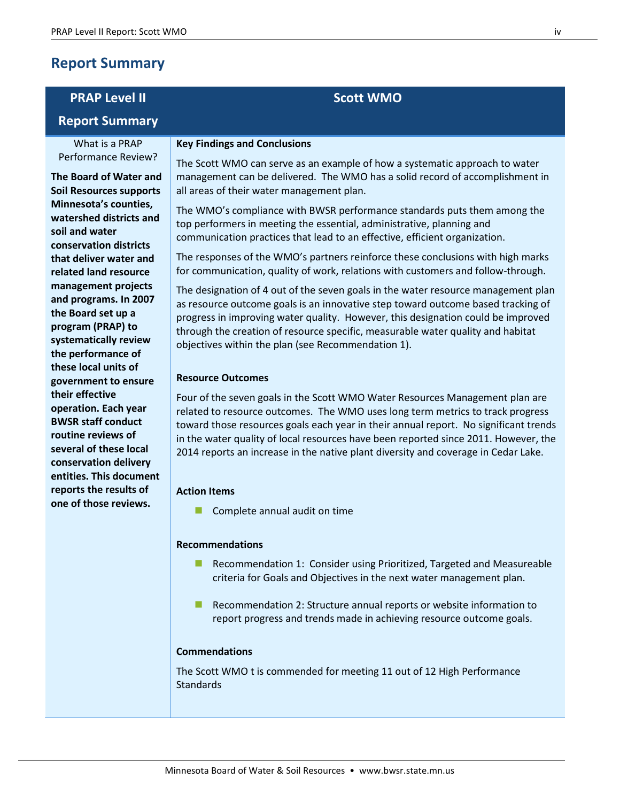## <span id="page-3-0"></span>**Report Summary**

| <b>PRAP Level II</b>                                                                                                                                                                                                                                                                                 | <b>Scott WMO</b>                                                                                                                                                                                                                                                                                                                                                                                                                                                                                                                                                                                                                                                                                                                                                                                                                   |
|------------------------------------------------------------------------------------------------------------------------------------------------------------------------------------------------------------------------------------------------------------------------------------------------------|------------------------------------------------------------------------------------------------------------------------------------------------------------------------------------------------------------------------------------------------------------------------------------------------------------------------------------------------------------------------------------------------------------------------------------------------------------------------------------------------------------------------------------------------------------------------------------------------------------------------------------------------------------------------------------------------------------------------------------------------------------------------------------------------------------------------------------|
| <b>Report Summary</b>                                                                                                                                                                                                                                                                                |                                                                                                                                                                                                                                                                                                                                                                                                                                                                                                                                                                                                                                                                                                                                                                                                                                    |
| What is a PRAP<br>Performance Review?<br>The Board of Water and<br><b>Soil Resources supports</b><br>Minnesota's counties,<br>watershed districts and<br>soil and water<br>conservation districts<br>that deliver water and<br>related land resource<br>management projects<br>and programs. In 2007 | <b>Key Findings and Conclusions</b><br>The Scott WMO can serve as an example of how a systematic approach to water<br>management can be delivered. The WMO has a solid record of accomplishment in<br>all areas of their water management plan.<br>The WMO's compliance with BWSR performance standards puts them among the<br>top performers in meeting the essential, administrative, planning and<br>communication practices that lead to an effective, efficient organization.<br>The responses of the WMO's partners reinforce these conclusions with high marks<br>for communication, quality of work, relations with customers and follow-through.<br>The designation of 4 out of the seven goals in the water resource management plan<br>as resource outcome goals is an innovative step toward outcome based tracking of |
| the Board set up a<br>program (PRAP) to<br>systematically review<br>the performance of<br>these local units of<br>government to ensure                                                                                                                                                               | progress in improving water quality. However, this designation could be improved<br>through the creation of resource specific, measurable water quality and habitat<br>objectives within the plan (see Recommendation 1).<br><b>Resource Outcomes</b>                                                                                                                                                                                                                                                                                                                                                                                                                                                                                                                                                                              |
| their effective<br>operation. Each year<br><b>BWSR staff conduct</b><br>routine reviews of<br>several of these local<br>conservation delivery<br>entities. This document<br>reports the results of<br>one of those reviews.                                                                          | Four of the seven goals in the Scott WMO Water Resources Management plan are<br>related to resource outcomes. The WMO uses long term metrics to track progress<br>toward those resources goals each year in their annual report. No significant trends<br>in the water quality of local resources have been reported since 2011. However, the<br>2014 reports an increase in the native plant diversity and coverage in Cedar Lake.<br><b>Action Items</b>                                                                                                                                                                                                                                                                                                                                                                         |
|                                                                                                                                                                                                                                                                                                      | Complete annual audit on time<br><b>Recommendations</b>                                                                                                                                                                                                                                                                                                                                                                                                                                                                                                                                                                                                                                                                                                                                                                            |

- Recommendation 1: Consider using Prioritized, Targeted and Measureable criteria for Goals and Objectives in the next water management plan.
- Recommendation 2: Structure annual reports or website information to report progress and trends made in achieving resource outcome goals.

#### **Commendations**

The Scott WMO t is commended for meeting 11 out of 12 High Performance **Standards**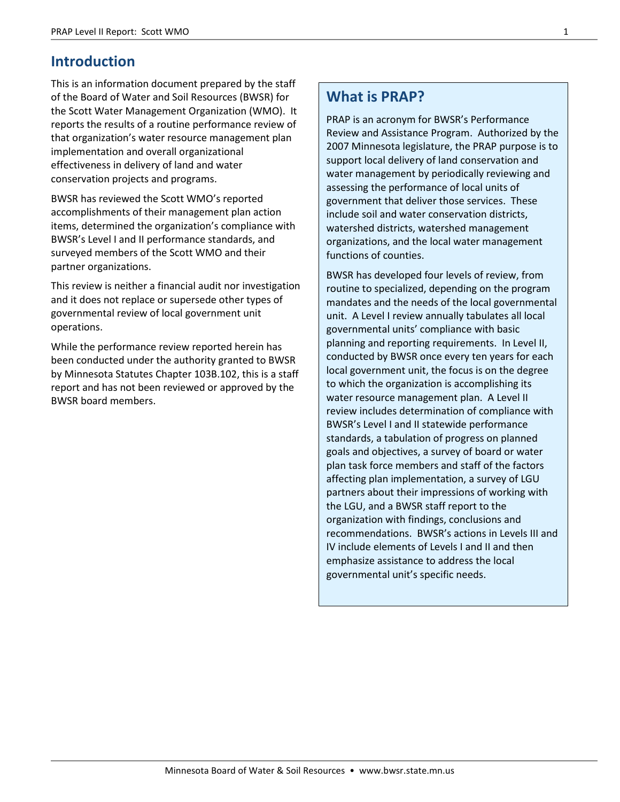## <span id="page-4-0"></span>**Introduction**

This is an information document prepared by the staff of the Board of Water and Soil Resources (BWSR) for the Scott Water Management Organization (WMO). It reports the results of a routine performance review of that organization's water resource management plan implementation and overall organizational effectiveness in delivery of land and water conservation projects and programs.

BWSR has reviewed the Scott WMO's reported accomplishments of their management plan action items, determined the organization's compliance with BWSR's Level I and II performance standards, and surveyed members of the Scott WMO and their partner organizations.

This review is neither a financial audit nor investigation and it does not replace or supersede other types of governmental review of local government unit operations.

While the performance review reported herein has been conducted under the authority granted to BWSR by Minnesota Statutes Chapter 103B.102, this is a staff report and has not been reviewed or approved by the BWSR board members.

## **What is PRAP?**

PRAP is an acronym for BWSR's Performance Review and Assistance Program. Authorized by the 2007 Minnesota legislature, the PRAP purpose is to support local delivery of land conservation and water management by periodically reviewing and assessing the performance of local units of government that deliver those services. These include soil and water conservation districts, watershed districts, watershed management organizations, and the local water management functions of counties.

BWSR has developed four levels of review, from routine to specialized, depending on the program mandates and the needs of the local governmental unit. A Level I review annually tabulates all local governmental units' compliance with basic planning and reporting requirements. In Level II, conducted by BWSR once every ten years for each local government unit, the focus is on the degree to which the organization is accomplishing its water resource management plan. A Level II review includes determination of compliance with BWSR's Level I and II statewide performance standards, a tabulation of progress on planned goals and objectives, a survey of board or water plan task force members and staff of the factors affecting plan implementation, a survey of LGU partners about their impressions of working with the LGU, and a BWSR staff report to the organization with findings, conclusions and recommendations. BWSR's actions in Levels III and IV include elements of Levels I and II and then emphasize assistance to address the local governmental unit's specific needs.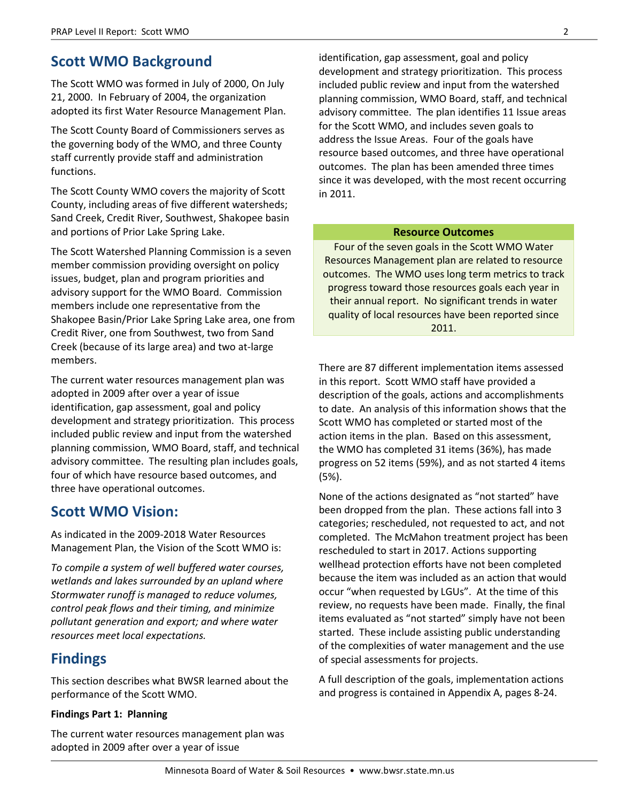#### **Scott WMO Background**

The Scott WMO was formed in July of 2000, On July 21, 2000. In February of 2004, the organization adopted its first Water Resource Management Plan.

The Scott County Board of Commissioners serves as the governing body of the WMO, and three County staff currently provide staff and administration functions.

The Scott County WMO covers the majority of Scott County, including areas of five different watersheds; Sand Creek, Credit River, Southwest, Shakopee basin and portions of Prior Lake Spring Lake.

The Scott Watershed Planning Commission is a seven member commission providing oversight on policy issues, budget, plan and program priorities and advisory support for the WMO Board. Commission members include one representative from the Shakopee Basin/Prior Lake Spring Lake area, one from Credit River, one from Southwest, two from Sand Creek (because of its large area) and two at-large members.

The current water resources management plan was adopted in 2009 after over a year of issue identification, gap assessment, goal and policy development and strategy prioritization. This process included public review and input from the watershed planning commission, WMO Board, staff, and technical advisory committee. The resulting plan includes goals, four of which have resource based outcomes, and three have operational outcomes.

#### **Scott WMO Vision:**

As indicated in the 2009-2018 Water Resources Management Plan, the Vision of the Scott WMO is:

*To compile a system of well buffered water courses, wetlands and lakes surrounded by an upland where Stormwater runoff is managed to reduce volumes, control peak flows and their timing, and minimize pollutant generation and export; and where water resources meet local expectations.*

### <span id="page-5-0"></span>**Findings**

This section describes what BWSR learned about the performance of the Scott WMO.

#### **Findings Part 1: Planning**

The current water resources management plan was adopted in 2009 after over a year of issue

identification, gap assessment, goal and policy development and strategy prioritization. This process included public review and input from the watershed planning commission, WMO Board, staff, and technical advisory committee. The plan identifies 11 Issue areas for the Scott WMO, and includes seven goals to address the Issue Areas. Four of the goals have resource based outcomes, and three have operational outcomes. The plan has been amended three times since it was developed, with the most recent occurring in 2011.

#### **Resource Outcomes**

Four of the seven goals in the Scott WMO Water Resources Management plan are related to resource outcomes. The WMO uses long term metrics to track progress toward those resources goals each year in their annual report. No significant trends in water quality of local resources have been reported since 2011.

There are 87 different implementation items assessed in this report. Scott WMO staff have provided a description of the goals, actions and accomplishments to date. An analysis of this information shows that the Scott WMO has completed or started most of the action items in the plan. Based on this assessment, the WMO has completed 31 items (36%), has made progress on 52 items (59%), and as not started 4 items (5%).

None of the actions designated as "not started" have been dropped from the plan. These actions fall into 3 categories; rescheduled, not requested to act, and not completed. The McMahon treatment project has been rescheduled to start in 2017. Actions supporting wellhead protection efforts have not been completed because the item was included as an action that would occur "when requested by LGUs". At the time of this review, no requests have been made. Finally, the final items evaluated as "not started" simply have not been started. These include assisting public understanding of the complexities of water management and the use of special assessments for projects.

A full description of the goals, implementation actions and progress is contained in Appendix A, pages 8-24.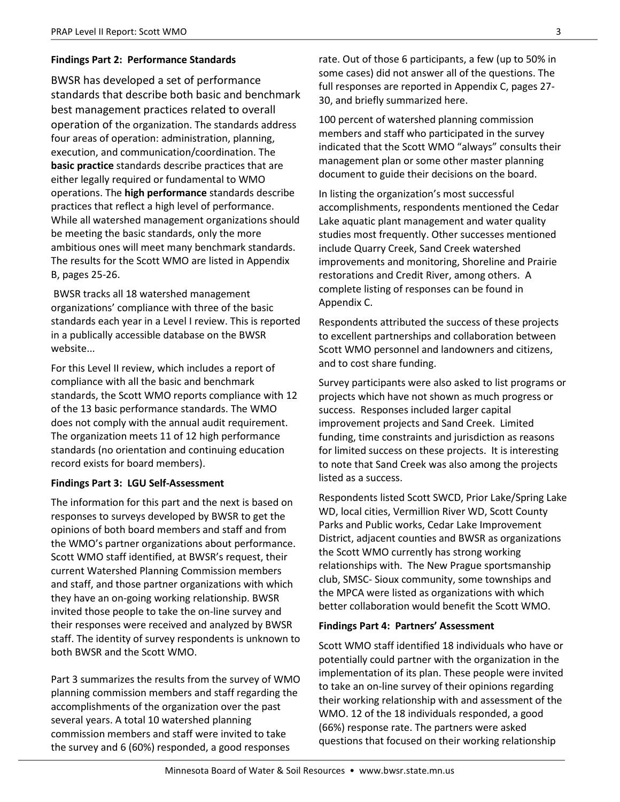#### **Findings Part 2: Performance Standards**

BWSR has developed a set of performance standards that describe both basic and benchmark best management practices related to overall operation of the organization. The standards address four areas of operation: administration, planning, execution, and communication/coordination. The **basic practice** standards describe practices that are either legally required or fundamental to WMO operations. The **high performance** standards describe practices that reflect a high level of performance. While all watershed management organizations should be meeting the basic standards, only the more ambitious ones will meet many benchmark standards. The results for the Scott WMO are listed in Appendix B, pages 25-26.

BWSR tracks all 18 watershed management organizations' compliance with three of the basic standards each year in a Level I review. This is reported in a publically accessible database on the BWSR website...

For this Level II review, which includes a report of compliance with all the basic and benchmark standards, the Scott WMO reports compliance with 12 of the 13 basic performance standards. The WMO does not comply with the annual audit requirement. The organization meets 11 of 12 high performance standards (no orientation and continuing education record exists for board members).

#### **Findings Part 3: LGU Self-Assessment**

The information for this part and the next is based on responses to surveys developed by BWSR to get the opinions of both board members and staff and from the WMO's partner organizations about performance. Scott WMO staff identified, at BWSR's request, their current Watershed Planning Commission members and staff, and those partner organizations with which they have an on-going working relationship. BWSR invited those people to take the on-line survey and their responses were received and analyzed by BWSR staff. The identity of survey respondents is unknown to both BWSR and the Scott WMO.

Part 3 summarizes the results from the survey of WMO planning commission members and staff regarding the accomplishments of the organization over the past several years. A total 10 watershed planning commission members and staff were invited to take the survey and 6 (60%) responded, a good responses

rate. Out of those 6 participants, a few (up to 50% in some cases) did not answer all of the questions. The full responses are reported in Appendix C, pages 27- 30, and briefly summarized here.

100 percent of watershed planning commission members and staff who participated in the survey indicated that the Scott WMO "always" consults their management plan or some other master planning document to guide their decisions on the board.

In listing the organization's most successful accomplishments, respondents mentioned the Cedar Lake aquatic plant management and water quality studies most frequently. Other successes mentioned include Quarry Creek, Sand Creek watershed improvements and monitoring, Shoreline and Prairie restorations and Credit River, among others. A complete listing of responses can be found in Appendix C.

Respondents attributed the success of these projects to excellent partnerships and collaboration between Scott WMO personnel and landowners and citizens, and to cost share funding.

Survey participants were also asked to list programs or projects which have not shown as much progress or success. Responses included larger capital improvement projects and Sand Creek. Limited funding, time constraints and jurisdiction as reasons for limited success on these projects. It is interesting to note that Sand Creek was also among the projects listed as a success.

Respondents listed Scott SWCD, Prior Lake/Spring Lake WD, local cities, Vermillion River WD, Scott County Parks and Public works, Cedar Lake Improvement District, adjacent counties and BWSR as organizations the Scott WMO currently has strong working relationships with. The New Prague sportsmanship club, SMSC- Sioux community, some townships and the MPCA were listed as organizations with which better collaboration would benefit the Scott WMO.

#### **Findings Part 4: Partners' Assessment**

Scott WMO staff identified 18 individuals who have or potentially could partner with the organization in the implementation of its plan. These people were invited to take an on-line survey of their opinions regarding their working relationship with and assessment of the WMO. 12 of the 18 individuals responded, a good (66%) response rate. The partners were asked questions that focused on their working relationship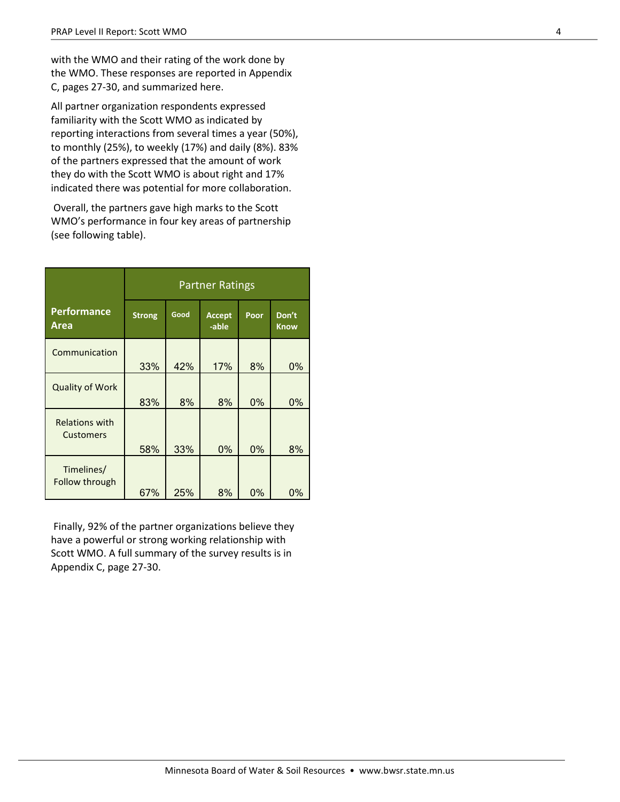with the WMO and their rating of the work done by the WMO. These responses are reported in Appendix C, pages 27-30, and summarized here.

All partner organization respondents expressed familiarity with the Scott WMO as indicated by reporting interactions from several times a year (50%), to monthly (25%), to weekly (17%) and daily (8%). 83% of the partners expressed that the amount of work they do with the Scott WMO is about right and 17% indicated there was potential for more collaboration.

Overall, the partners gave high marks to the Scott WMO's performance in four key areas of partnership (see following table).

|                                           | <b>Partner Ratings</b> |      |                        |      |                      |  |  |  |
|-------------------------------------------|------------------------|------|------------------------|------|----------------------|--|--|--|
| <b>Performance</b><br>Area                | <b>Strong</b>          | Good | <b>Accept</b><br>-able | Poor | Don't<br><b>Know</b> |  |  |  |
| Communication                             | 33%                    | 42%  | 17%                    | 8%   | $0\%$                |  |  |  |
| <b>Quality of Work</b>                    | 83%                    | 8%   | 8%                     | 0%   | $0\%$                |  |  |  |
| <b>Relations with</b><br><b>Customers</b> | 58%                    | 33%  | 0%                     | 0%   | 8%                   |  |  |  |
| Timelines/<br>Follow through              | 67%                    | 25%  | 8%                     | 0%   | 0%                   |  |  |  |

Finally, 92% of the partner organizations believe they have a powerful or strong working relationship with Scott WMO. A full summary of the survey results is in Appendix C, page 27-30.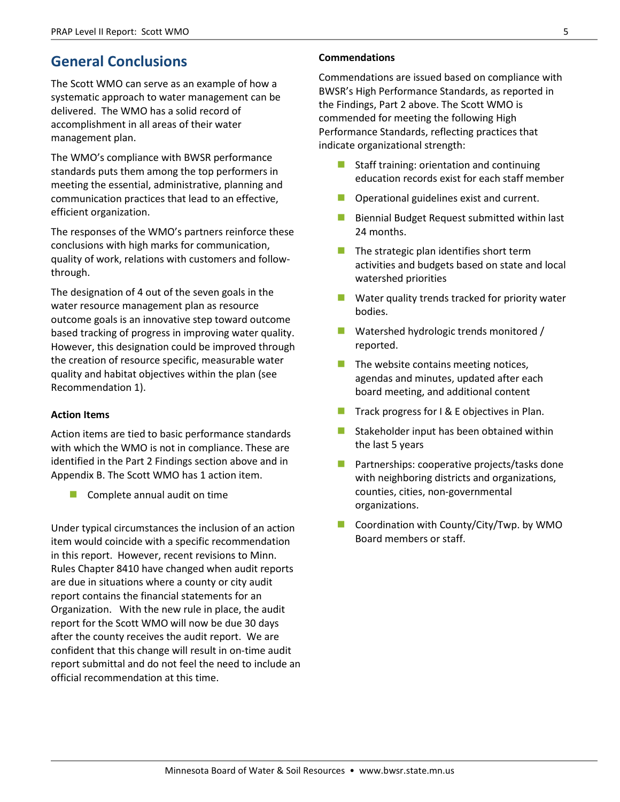## <span id="page-8-0"></span>**General Conclusions**

The Scott WMO can serve as an example of how a systematic approach to water management can be delivered. The WMO has a solid record of accomplishment in all areas of their water management plan.

The WMO's compliance with BWSR performance standards puts them among the top performers in meeting the essential, administrative, planning and communication practices that lead to an effective, efficient organization.

The responses of the WMO's partners reinforce these conclusions with high marks for communication, quality of work, relations with customers and followthrough.

The designation of 4 out of the seven goals in the water resource management plan as resource outcome goals is an innovative step toward outcome based tracking of progress in improving water quality. However, this designation could be improved through the creation of resource specific, measurable water quality and habitat objectives within the plan (see Recommendation 1).

#### **Action Items**

Action items are tied to basic performance standards with which the WMO is not in compliance. These are identified in the Part 2 Findings section above and in Appendix B. The Scott WMO has 1 action item.

**Complete annual audit on time** 

Under typical circumstances the inclusion of an action item would coincide with a specific recommendation in this report. However, recent revisions to Minn. Rules Chapter 8410 have changed when audit reports are due in situations where a county or city audit report contains the financial statements for an Organization. With the new rule in place, the audit report for the Scott WMO will now be due 30 days after the county receives the audit report. We are confident that this change will result in on-time audit report submittal and do not feel the need to include an official recommendation at this time.

#### **Commendations**

Commendations are issued based on compliance with BWSR's High Performance Standards, as reported in the Findings, Part 2 above. The Scott WMO is commended for meeting the following High Performance Standards, reflecting practices that indicate organizational strength:

- $\blacksquare$  Staff training: orientation and continuing education records exist for each staff member
- **Operational guidelines exist and current.**
- **Biennial Budget Request submitted within last** 24 months.
- $\blacksquare$  The strategic plan identifies short term activities and budgets based on state and local watershed priorities
- **N** Water quality trends tracked for priority water bodies.
- Watershed hydrologic trends monitored / reported.
- $\blacksquare$  The website contains meeting notices, agendas and minutes, updated after each board meeting, and additional content
- Track progress for I & E objectives in Plan.
- Stakeholder input has been obtained within the last 5 years
- **Partnerships: cooperative projects/tasks done** with neighboring districts and organizations, counties, cities, non-governmental organizations.
- Coordination with County/City/Twp. by WMO Board members or staff.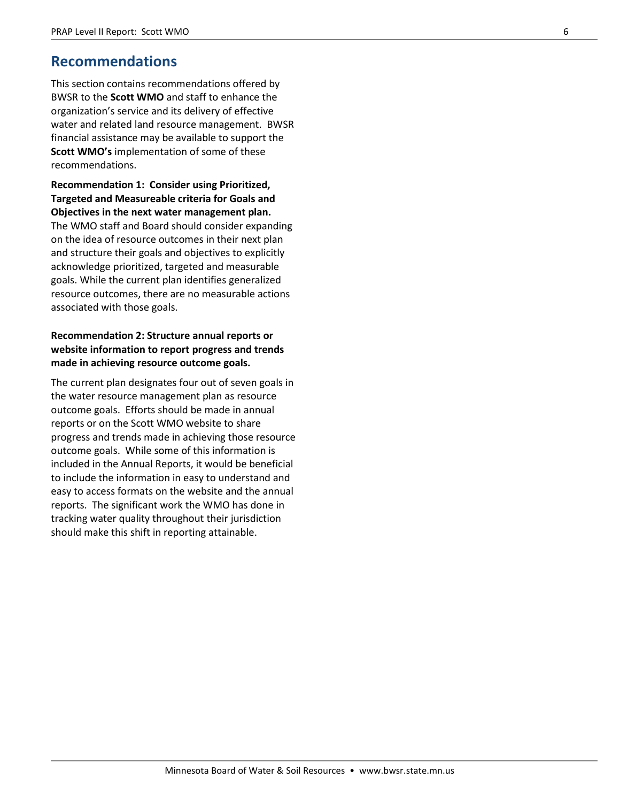#### <span id="page-9-0"></span>**Recommendations**

This section contains recommendations offered by BWSR to the **Scott WMO** and staff to enhance the organization's service and its delivery of effective water and related land resource management. BWSR financial assistance may be available to support the **Scott WMO's** implementation of some of these recommendations.

**Recommendation 1: Consider using Prioritized, Targeted and Measureable criteria for Goals and Objectives in the next water management plan.**  The WMO staff and Board should consider expanding on the idea of resource outcomes in their next plan and structure their goals and objectives to explicitly acknowledge prioritized, targeted and measurable goals. While the current plan identifies generalized resource outcomes, there are no measurable actions associated with those goals.

#### **Recommendation 2: Structure annual reports or website information to report progress and trends made in achieving resource outcome goals.**

The current plan designates four out of seven goals in the water resource management plan as resource outcome goals. Efforts should be made in annual reports or on the Scott WMO website to share progress and trends made in achieving those resource outcome goals. While some of this information is included in the Annual Reports, it would be beneficial to include the information in easy to understand and easy to access formats on the website and the annual reports. The significant work the WMO has done in tracking water quality throughout their jurisdiction should make this shift in reporting attainable.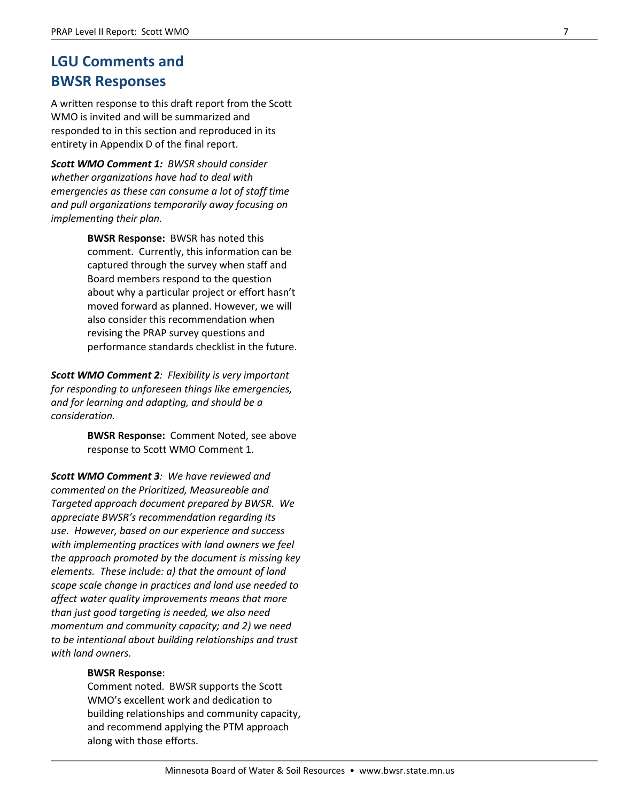## <span id="page-10-0"></span>**LGU Comments and BWSR Responses**

A written response to this draft report from the Scott WMO is invited and will be summarized and responded to in this section and reproduced in its entirety in Appendix D of the final report.

*Scott WMO Comment 1: BWSR should consider whether organizations have had to deal with emergencies as these can consume a lot of staff time and pull organizations temporarily away focusing on implementing their plan.*

> **BWSR Response:** BWSR has noted this comment. Currently, this information can be captured through the survey when staff and Board members respond to the question about why a particular project or effort hasn't moved forward as planned. However, we will also consider this recommendation when revising the PRAP survey questions and performance standards checklist in the future.

*Scott WMO Comment 2: Flexibility is very important for responding to unforeseen things like emergencies, and for learning and adapting, and should be a consideration.*

> **BWSR Response:** Comment Noted, see above response to Scott WMO Comment 1.

*Scott WMO Comment 3: We have reviewed and commented on the Prioritized, Measureable and Targeted approach document prepared by BWSR. We appreciate BWSR's recommendation regarding its use. However, based on our experience and success with implementing practices with land owners we feel the approach promoted by the document is missing key elements. These include: a) that the amount of land scape scale change in practices and land use needed to affect water quality improvements means that more than just good targeting is needed, we also need momentum and community capacity; and 2) we need to be intentional about building relationships and trust with land owners.*

#### **BWSR Response**:

Comment noted. BWSR supports the Scott WMO's excellent work and dedication to building relationships and community capacity, and recommend applying the PTM approach along with those efforts.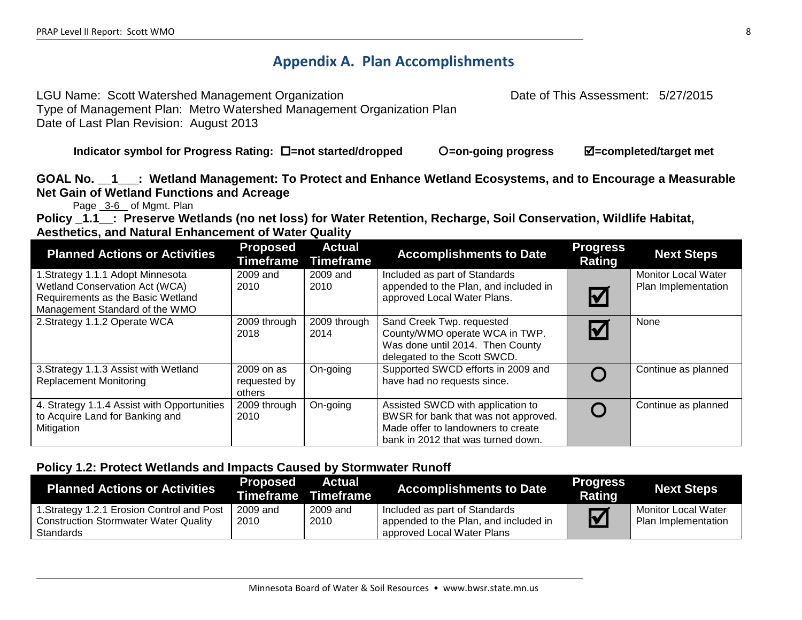## **Appendix A. Plan Accomplishments**

LGU Name: Scott Watershed Management Organization Date of This Assessment: 5/27/2015 Type of Management Plan: Metro Watershed Management Organization Plan Date of Last Plan Revision: August 2013

**Indicator symbol for Progress Rating: □=not started/dropped**  $\bigcirc$ =on-going progress  $\Box$ =completed/target met

#### GOAL No. **1** : Wetland Management: To Protect and Enhance Wetland Ecosystems, and to Encourage a Measurable **Net Gain of Wetland Functions and Acreage**

Page 3-6 of Mgmt. Plan

**Policy \_1.1\_\_: Preserve Wetlands (no net loss) for Water Retention, Recharge, Soil Conservation, Wildlife Habitat, Aesthetics, and Natural Enhancement of Water Quality**

<span id="page-11-0"></span>

| <b>Planned Actions or Activities</b>                                                                                                           | <b>Proposed</b><br>Timeframe         | <b>Actual</b><br><b>Timeframe</b> | <b>Accomplishments to Date</b>                                                                                                                        | <b>Progress</b><br>Rating | <b>Next Steps</b>                                 |
|------------------------------------------------------------------------------------------------------------------------------------------------|--------------------------------------|-----------------------------------|-------------------------------------------------------------------------------------------------------------------------------------------------------|---------------------------|---------------------------------------------------|
| Strategy 1.1.1 Adopt Minnesota<br><b>Wetland Conservation Act (WCA)</b><br>Requirements as the Basic Wetland<br>Management Standard of the WMO | 2009 and<br>2010                     | 2009 and<br>2010                  | Included as part of Standards<br>appended to the Plan, and included in<br>approved Local Water Plans.                                                 | М                         | <b>Monitor Local Water</b><br>Plan Implementation |
| 2. Strategy 1.1.2 Operate WCA                                                                                                                  | 2009 through<br>2018                 | 2009 through<br>2014              | Sand Creek Twp. requested<br>County/WMO operate WCA in TWP.<br>Was done until 2014. Then County<br>delegated to the Scott SWCD.                       | $\blacktriangledown$      | None                                              |
| 3. Strategy 1.1.3 Assist with Wetland<br><b>Replacement Monitoring</b>                                                                         | 2009 on as<br>requested by<br>others | On-going                          | Supported SWCD efforts in 2009 and<br>have had no requests since.                                                                                     |                           | Continue as planned                               |
| 4. Strategy 1.1.4 Assist with Opportunities<br>to Acquire Land for Banking and<br>Mitigation                                                   | 2009 through<br>2010                 | On-going                          | Assisted SWCD with application to<br>BWSR for bank that was not approved.<br>Made offer to landowners to create<br>bank in 2012 that was turned down. |                           | Continue as planned                               |

#### **Policy 1.2: Protect Wetlands and Impacts Caused by Stormwater Runoff**

| <b>Planned Actions or Activities</b>                                                       | Proposed         | Actual<br><b>Timeframe Timeframe</b> | <b>Accomplishments to Date</b>                                         | <b>Progress</b><br>Rating | <b>Next Steps</b>                          |
|--------------------------------------------------------------------------------------------|------------------|--------------------------------------|------------------------------------------------------------------------|---------------------------|--------------------------------------------|
| 1. Strategy 1.2.1 Erosion Control and Post<br><b>Construction Stormwater Water Quality</b> | 2009 and<br>2010 | 2009 and<br>2010                     | Included as part of Standards<br>appended to the Plan, and included in | $\boldsymbol{\nabla}$     | Monitor Local Water<br>Plan Implementation |
| <b>Standards</b>                                                                           |                  |                                      | approved Local Water Plans                                             |                           |                                            |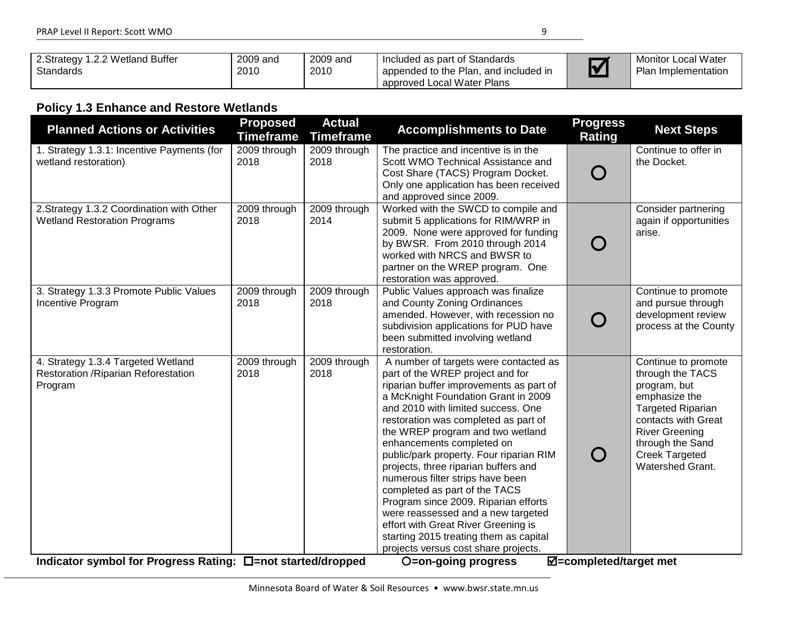| 2.Strategy 1.2.2 Wetland Buffer | 2009 and | 2009 and | Included as part of Standards         | <b>Monitor Local Water</b> |
|---------------------------------|----------|----------|---------------------------------------|----------------------------|
| Standards                       | 2010     | 2010     | appended to the Plan, and included in | Plan Implementation        |
|                                 |          |          | approved Local Water Plans            |                            |

#### **Policy 1.3 Enhance and Restore Wetlands**

| <b>Planned Actions or Activities</b>                                                  | <b>Proposed</b><br><b>Timeframe</b> | <b>Actual</b><br><b>Timeframe</b> | <b>Accomplishments to Date</b>                                                                                                                                                                                                                                                                                                                                                                                                                                                                                                                                                                                                                                            | <b>Progress</b><br><b>Rating</b>  | <b>Next Steps</b>                                                                                                                                                                                                     |
|---------------------------------------------------------------------------------------|-------------------------------------|-----------------------------------|---------------------------------------------------------------------------------------------------------------------------------------------------------------------------------------------------------------------------------------------------------------------------------------------------------------------------------------------------------------------------------------------------------------------------------------------------------------------------------------------------------------------------------------------------------------------------------------------------------------------------------------------------------------------------|-----------------------------------|-----------------------------------------------------------------------------------------------------------------------------------------------------------------------------------------------------------------------|
| 1. Strategy 1.3.1: Incentive Payments (for<br>wetland restoration)                    | 2009 through<br>2018                | 2009 through<br>2018              | The practice and incentive is in the<br>Scott WMO Technical Assistance and<br>Cost Share (TACS) Program Docket.<br>Only one application has been received<br>and approved since 2009.                                                                                                                                                                                                                                                                                                                                                                                                                                                                                     | ( )                               | Continue to offer in<br>the Docket.                                                                                                                                                                                   |
| 2. Strategy 1.3.2 Coordination with Other<br><b>Wetland Restoration Programs</b>      | 2009 through<br>2018                | 2009 through<br>2014              | Worked with the SWCD to compile and<br>submit 5 applications for RIM/WRP in<br>2009. None were approved for funding<br>by BWSR. From 2010 through 2014<br>worked with NRCS and BWSR to<br>partner on the WREP program. One<br>restoration was approved.                                                                                                                                                                                                                                                                                                                                                                                                                   | ( )                               | Consider partnering<br>again if opportunities<br>arise.                                                                                                                                                               |
| 3. Strategy 1.3.3 Promote Public Values<br>Incentive Program                          | 2009 through<br>2018                | 2009 through<br>2018              | Public Values approach was finalize<br>and County Zoning Ordinances<br>amended. However, with recession no<br>subdivision applications for PUD have<br>been submitted involving wetland<br>restoration.                                                                                                                                                                                                                                                                                                                                                                                                                                                                   | O                                 | Continue to promote<br>and pursue through<br>development review<br>process at the County                                                                                                                              |
| 4. Strategy 1.3.4 Targeted Wetland<br>Restoration / Riparian Reforestation<br>Program | 2009 through<br>2018                | 2009 through<br>2018              | A number of targets were contacted as<br>part of the WREP project and for<br>riparian buffer improvements as part of<br>a McKnight Foundation Grant in 2009<br>and 2010 with limited success. One<br>restoration was completed as part of<br>the WREP program and two wetland<br>enhancements completed on<br>public/park property. Four riparian RIM<br>projects, three riparian buffers and<br>numerous filter strips have been<br>completed as part of the TACS<br>Program since 2009. Riparian efforts<br>were reassessed and a new targeted<br>effort with Great River Greening is<br>starting 2015 treating them as capital<br>projects versus cost share projects. | $\bigcap$                         | Continue to promote<br>through the TACS<br>program, but<br>emphasize the<br><b>Targeted Riparian</b><br>contacts with Great<br><b>River Greening</b><br>through the Sand<br><b>Creek Targeted</b><br>Watershed Grant. |
| Indicator symbol for Progress Rating: $\square$ =not started/dropped                  |                                     |                                   | O=on-going progress                                                                                                                                                                                                                                                                                                                                                                                                                                                                                                                                                                                                                                                       | $\boxtimes$ =completed/target met |                                                                                                                                                                                                                       |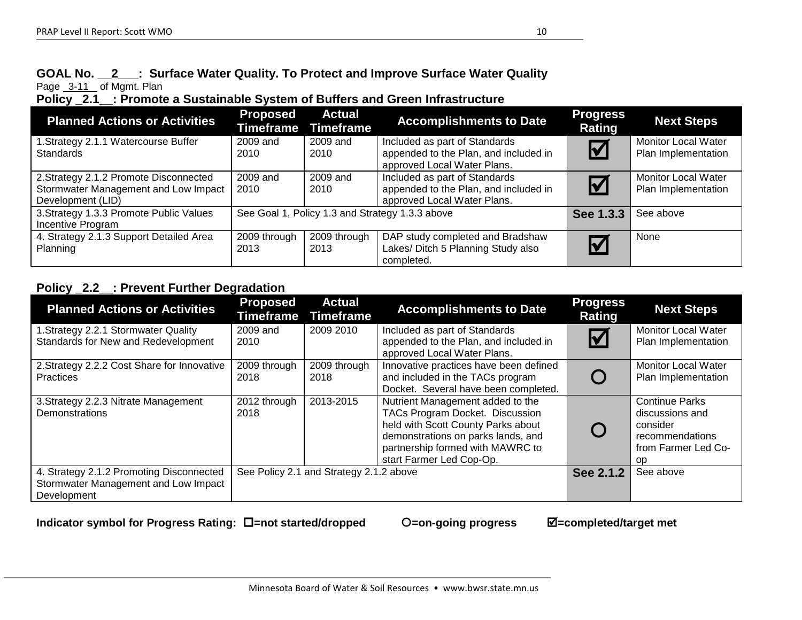#### **GOAL No. \_\_2\_\_\_: Surface Water Quality. To Protect and Improve Surface Water Quality**

Page 3-11 of Mgmt. Plan

**Policy \_2.1\_\_: Promote a Sustainable System of Buffers and Green Infrastructure**

| <b>Planned Actions or Activities</b>                                                                | <b>Proposed</b>      | <b>Actual</b><br>Timeframe Timeframe            | <b>Accomplishments to Date</b>                                                                        | <b>Progress</b><br>Rating | Next Steps                                        |
|-----------------------------------------------------------------------------------------------------|----------------------|-------------------------------------------------|-------------------------------------------------------------------------------------------------------|---------------------------|---------------------------------------------------|
| 1. Strategy 2.1.1 Watercourse Buffer<br><b>Standards</b>                                            | 2009 and<br>2010     | 2009 and<br>2010                                | Included as part of Standards<br>appended to the Plan, and included in<br>approved Local Water Plans. | $\blacktriangledown$      | <b>Monitor Local Water</b><br>Plan Implementation |
| 2. Strategy 2.1.2 Promote Disconnected<br>Stormwater Management and Low Impact<br>Development (LID) | 2009 and<br>2010     | 2009 and<br>2010                                | Included as part of Standards<br>appended to the Plan, and included in<br>approved Local Water Plans. | $\boldsymbol{\nabla}$     | <b>Monitor Local Water</b><br>Plan Implementation |
| 3. Strategy 1.3.3 Promote Public Values<br>Incentive Program                                        |                      | See Goal 1, Policy 1.3 and Strategy 1.3.3 above | See 1.3.3                                                                                             | See above                 |                                                   |
| 4. Strategy 2.1.3 Support Detailed Area<br>Planning                                                 | 2009 through<br>2013 | 2009 through<br>2013                            | DAP study completed and Bradshaw<br>Lakes/Ditch 5 Planning Study also<br>completed.                   | $\blacktriangledown$      | None                                              |

#### **Policy \_2.2\_\_: Prevent Further Degradation**

| <b>Planned Actions or Activities</b>                                                            | <b>Proposed</b><br><b>Timeframe</b> | <b>Actual</b><br><b>Timeframe</b>       | <b>Accomplishments to Date</b>                                                                                                                                                                                  | <b>Progress</b><br>Rating | <b>Next Steps</b>                                                                                    |
|-------------------------------------------------------------------------------------------------|-------------------------------------|-----------------------------------------|-----------------------------------------------------------------------------------------------------------------------------------------------------------------------------------------------------------------|---------------------------|------------------------------------------------------------------------------------------------------|
| 1. Strategy 2.2.1 Stormwater Quality<br>Standards for New and Redevelopment                     | 2009 and<br>2010                    | 2009 2010                               | Included as part of Standards<br>appended to the Plan, and included in<br>approved Local Water Plans.                                                                                                           | $\overline{\mathbf{V}}$   | <b>Monitor Local Water</b><br>Plan Implementation                                                    |
| 2. Strategy 2.2.2 Cost Share for Innovative<br><b>Practices</b>                                 | 2009 through<br>2018                | 2009 through<br>2018                    | Innovative practices have been defined<br>and included in the TACs program<br>Docket. Several have been completed.                                                                                              |                           | <b>Monitor Local Water</b><br>Plan Implementation                                                    |
| 3. Strategy 2.2.3 Nitrate Management<br>Demonstrations                                          | 2012 through<br>2018                | 2013-2015                               | Nutrient Management added to the<br>TACs Program Docket. Discussion<br>held with Scott County Parks about<br>demonstrations on parks lands, and<br>partnership formed with MAWRC to<br>start Farmer Led Cop-Op. |                           | <b>Continue Parks</b><br>discussions and<br>consider<br>recommendations<br>from Farmer Led Co-<br>op |
| 4. Strategy 2.1.2 Promoting Disconnected<br>Stormwater Management and Low Impact<br>Development |                                     | See Policy 2.1 and Strategy 2.1.2 above |                                                                                                                                                                                                                 | See 2.1.2                 | See above                                                                                            |

**Indicator symbol for Progress Rating: =not started/dropped =on-going progress =completed/target met**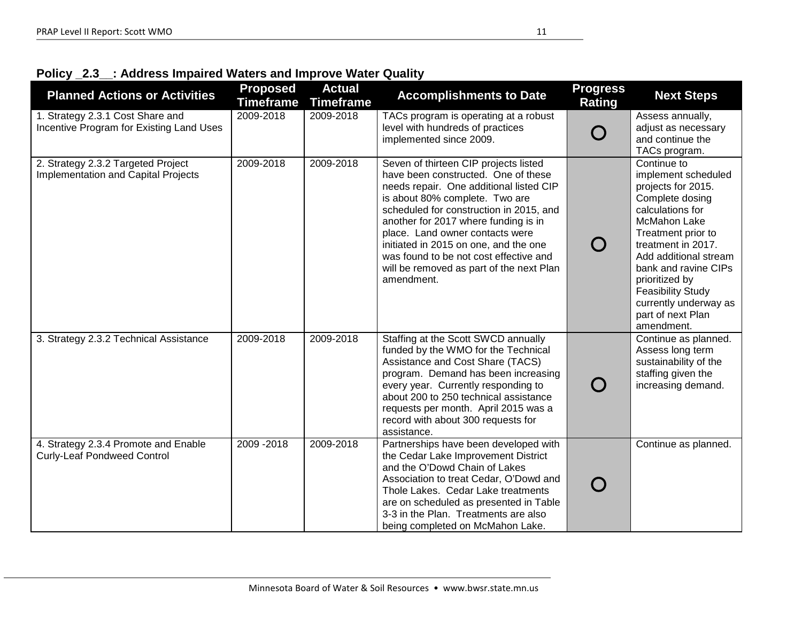| <b>Planned Actions or Activities</b>                                         | <b>Proposed</b><br><b>Timeframe</b> | <b>Actual</b><br><b>Timeframe</b> | <b>Accomplishments to Date</b>                                                                                                                                                                                                                                                                                                                                                                                               | <b>Progress</b><br><b>Rating</b> | <b>Next Steps</b>                                                                                                                                                                                                                                                                                                      |
|------------------------------------------------------------------------------|-------------------------------------|-----------------------------------|------------------------------------------------------------------------------------------------------------------------------------------------------------------------------------------------------------------------------------------------------------------------------------------------------------------------------------------------------------------------------------------------------------------------------|----------------------------------|------------------------------------------------------------------------------------------------------------------------------------------------------------------------------------------------------------------------------------------------------------------------------------------------------------------------|
| 1. Strategy 2.3.1 Cost Share and<br>Incentive Program for Existing Land Uses | 2009-2018                           | 2009-2018                         | TACs program is operating at a robust<br>level with hundreds of practices<br>implemented since 2009.                                                                                                                                                                                                                                                                                                                         | O                                | Assess annually,<br>adjust as necessary<br>and continue the<br>TACs program.                                                                                                                                                                                                                                           |
| 2. Strategy 2.3.2 Targeted Project<br>Implementation and Capital Projects    | 2009-2018                           | 2009-2018                         | Seven of thirteen CIP projects listed<br>have been constructed. One of these<br>needs repair. One additional listed CIP<br>is about 80% complete. Two are<br>scheduled for construction in 2015, and<br>another for 2017 where funding is in<br>place. Land owner contacts were<br>initiated in 2015 on one, and the one<br>was found to be not cost effective and<br>will be removed as part of the next Plan<br>amendment. | $\bigcap$                        | Continue to<br>implement scheduled<br>projects for 2015.<br>Complete dosing<br>calculations for<br>McMahon Lake<br>Treatment prior to<br>treatment in 2017.<br>Add additional stream<br>bank and ravine CIPs<br>prioritized by<br><b>Feasibility Study</b><br>currently underway as<br>part of next Plan<br>amendment. |
| 3. Strategy 2.3.2 Technical Assistance                                       | 2009-2018                           | 2009-2018                         | Staffing at the Scott SWCD annually<br>funded by the WMO for the Technical<br>Assistance and Cost Share (TACS)<br>program. Demand has been increasing<br>every year. Currently responding to<br>about 200 to 250 technical assistance<br>requests per month. April 2015 was a<br>record with about 300 requests for<br>assistance.                                                                                           | $\bigcap$                        | Continue as planned.<br>Assess long term<br>sustainability of the<br>staffing given the<br>increasing demand.                                                                                                                                                                                                          |
| 4. Strategy 2.3.4 Promote and Enable<br><b>Curly-Leaf Pondweed Control</b>   | 2009 - 2018                         | 2009-2018                         | Partnerships have been developed with<br>the Cedar Lake Improvement District<br>and the O'Dowd Chain of Lakes<br>Association to treat Cedar, O'Dowd and<br>Thole Lakes. Cedar Lake treatments<br>are on scheduled as presented in Table<br>3-3 in the Plan. Treatments are also<br>being completed on McMahon Lake.                                                                                                          | ${\rm O}$                        | Continue as planned.                                                                                                                                                                                                                                                                                                   |

#### **Policy \_2.3\_\_: Address Impaired Waters and Improve Water Quality**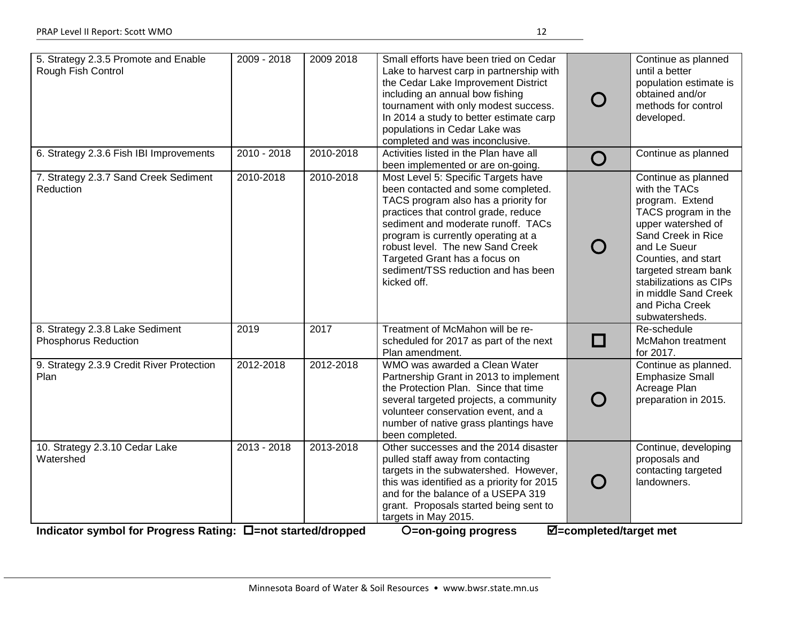| 5. Strategy 2.3.5 Promote and Enable<br>Rough Fish Control                                                          | 2009 - 2018 | 2009 2018 | Small efforts have been tried on Cedar<br>Lake to harvest carp in partnership with<br>the Cedar Lake Improvement District<br>including an annual bow fishing<br>tournament with only modest success.<br>In 2014 a study to better estimate carp<br>populations in Cedar Lake was<br>completed and was inconclusive.                                               | $\mathbf O$                          | Continue as planned<br>until a better<br>population estimate is<br>obtained and/or<br>methods for control<br>developed.                                                                                                                                                          |
|---------------------------------------------------------------------------------------------------------------------|-------------|-----------|-------------------------------------------------------------------------------------------------------------------------------------------------------------------------------------------------------------------------------------------------------------------------------------------------------------------------------------------------------------------|--------------------------------------|----------------------------------------------------------------------------------------------------------------------------------------------------------------------------------------------------------------------------------------------------------------------------------|
| 6. Strategy 2.3.6 Fish IBI Improvements                                                                             | 2010 - 2018 | 2010-2018 | Activities listed in the Plan have all<br>been implemented or are on-going.                                                                                                                                                                                                                                                                                       | O                                    | Continue as planned                                                                                                                                                                                                                                                              |
| 7. Strategy 2.3.7 Sand Creek Sediment<br>Reduction                                                                  | 2010-2018   | 2010-2018 | Most Level 5: Specific Targets have<br>been contacted and some completed.<br>TACS program also has a priority for<br>practices that control grade, reduce<br>sediment and moderate runoff. TACs<br>program is currently operating at a<br>robust level. The new Sand Creek<br>Targeted Grant has a focus on<br>sediment/TSS reduction and has been<br>kicked off. | $\bigcirc$                           | Continue as planned<br>with the TACs<br>program. Extend<br>TACS program in the<br>upper watershed of<br>Sand Creek in Rice<br>and Le Sueur<br>Counties, and start<br>targeted stream bank<br>stabilizations as CIPs<br>in middle Sand Creek<br>and Picha Creek<br>subwatersheds. |
| 8. Strategy 2.3.8 Lake Sediment<br><b>Phosphorus Reduction</b>                                                      | 2019        | 2017      | Treatment of McMahon will be re-<br>scheduled for 2017 as part of the next<br>Plan amendment.                                                                                                                                                                                                                                                                     | □                                    | Re-schedule<br>McMahon treatment<br>for 2017.                                                                                                                                                                                                                                    |
| 9. Strategy 2.3.9 Credit River Protection<br>Plan                                                                   | 2012-2018   | 2012-2018 | WMO was awarded a Clean Water<br>Partnership Grant in 2013 to implement<br>the Protection Plan. Since that time<br>several targeted projects, a community<br>volunteer conservation event, and a<br>number of native grass plantings have<br>been completed.                                                                                                      | O                                    | Continue as planned.<br><b>Emphasize Small</b><br>Acreage Plan<br>preparation in 2015.                                                                                                                                                                                           |
| 10. Strategy 2.3.10 Cedar Lake<br>Watershed<br>Indicator symbol for Progress Rating: $\square$ =not started/dropped | 2013 - 2018 | 2013-2018 | Other successes and the 2014 disaster<br>pulled staff away from contacting<br>targets in the subwatershed. However,<br>this was identified as a priority for 2015<br>and for the balance of a USEPA 319<br>grant. Proposals started being sent to<br>targets in May 2015.<br>O=on-going progress                                                                  | O<br>$\boxdot$ =completed/target met | Continue, developing<br>proposals and<br>contacting targeted<br>landowners.                                                                                                                                                                                                      |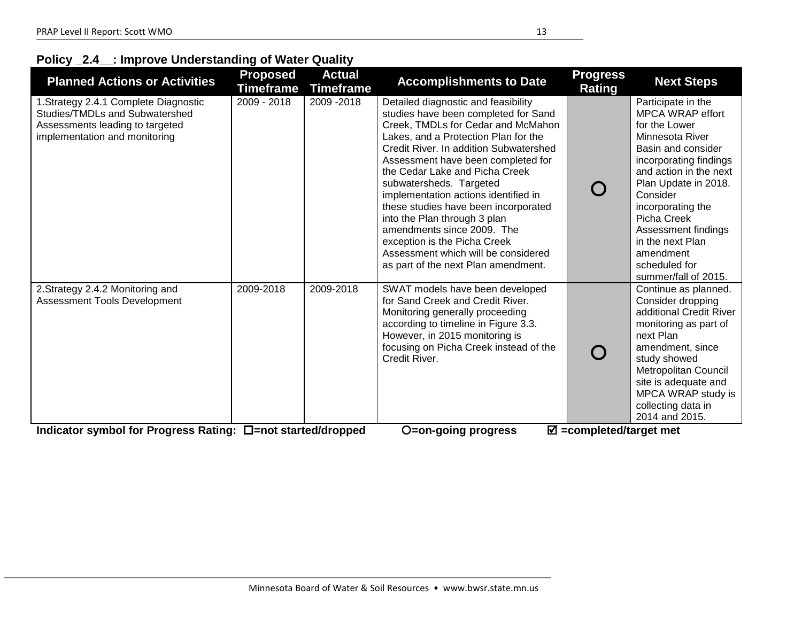#### **Policy \_2.4\_\_: Improve Understanding of Water Quality**

| <b>Planned Actions or Activities</b>                                                                                                        | <b>Proposed</b><br><b>Timeframe</b> | <b>Actual</b><br><b>Timeframe</b> | <b>Accomplishments to Date</b>                                                                                                                                                                                                                                                                                                                                                                                                                                                                                                                                     | <b>Progress</b><br><b>Rating</b>  | <b>Next Steps</b>                                                                                                                                                                                                                                                                                                                    |
|---------------------------------------------------------------------------------------------------------------------------------------------|-------------------------------------|-----------------------------------|--------------------------------------------------------------------------------------------------------------------------------------------------------------------------------------------------------------------------------------------------------------------------------------------------------------------------------------------------------------------------------------------------------------------------------------------------------------------------------------------------------------------------------------------------------------------|-----------------------------------|--------------------------------------------------------------------------------------------------------------------------------------------------------------------------------------------------------------------------------------------------------------------------------------------------------------------------------------|
| 1. Strategy 2.4.1 Complete Diagnostic<br>Studies/TMDLs and Subwatershed<br>Assessments leading to targeted<br>implementation and monitoring | 2009 - 2018                         | 2009 - 2018                       | Detailed diagnostic and feasibility<br>studies have been completed for Sand<br>Creek, TMDLs for Cedar and McMahon<br>Lakes, and a Protection Plan for the<br>Credit River. In addition Subwatershed<br>Assessment have been completed for<br>the Cedar Lake and Picha Creek<br>subwatersheds. Targeted<br>implementation actions identified in<br>these studies have been incorporated<br>into the Plan through 3 plan<br>amendments since 2009. The<br>exception is the Picha Creek<br>Assessment which will be considered<br>as part of the next Plan amendment. |                                   | Participate in the<br><b>MPCA WRAP effort</b><br>for the Lower<br>Minnesota River<br>Basin and consider<br>incorporating findings<br>and action in the next<br>Plan Update in 2018.<br>Consider<br>incorporating the<br>Picha Creek<br>Assessment findings<br>in the next Plan<br>amendment<br>scheduled for<br>summer/fall of 2015. |
| 2. Strategy 2.4.2 Monitoring and<br>Assessment Tools Development                                                                            | 2009-2018                           | 2009-2018                         | SWAT models have been developed<br>for Sand Creek and Credit River.<br>Monitoring generally proceeding<br>according to timeline in Figure 3.3.<br>However, in 2015 monitoring is<br>focusing on Picha Creek instead of the<br>Credit River.                                                                                                                                                                                                                                                                                                                        | O                                 | Continue as planned.<br>Consider dropping<br>additional Credit River<br>monitoring as part of<br>next Plan<br>amendment, since<br>study showed<br><b>Metropolitan Council</b><br>site is adequate and<br>MPCA WRAP study is<br>collecting data in<br>2014 and 2015.                                                                  |
| Indicator symbol for Progress Rating: $\square$ =not started/dropped                                                                        |                                     |                                   | O=on-going progress                                                                                                                                                                                                                                                                                                                                                                                                                                                                                                                                                | $\boxtimes$ =completed/target met |                                                                                                                                                                                                                                                                                                                                      |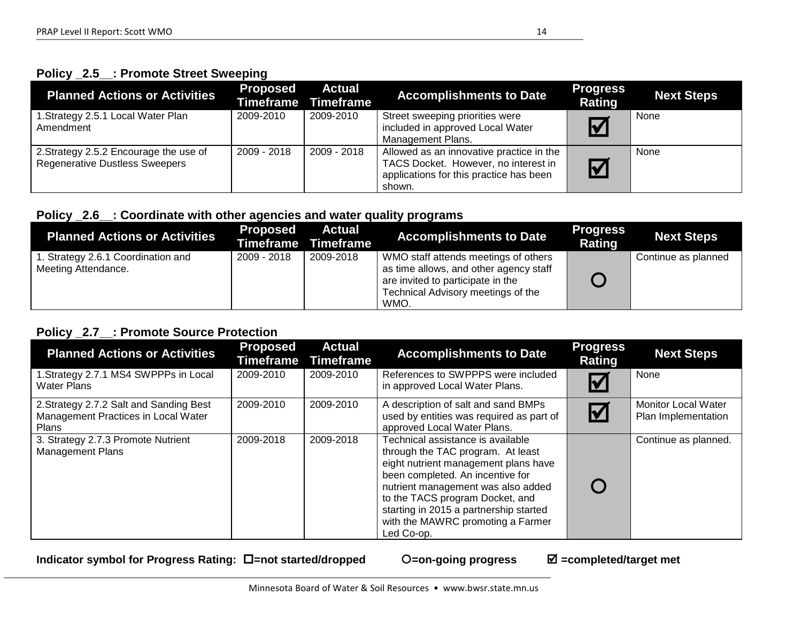| Policy _2.5_: Promote Street Sweeping |  |
|---------------------------------------|--|
|---------------------------------------|--|

| <b>Planned Actions or Activities</b>                                            | <b>Proposed</b><br>Timeframe | <b>Actual</b><br><b>Timeframe</b> | <b>Accomplishments to Date</b>                                                                                                        | <b>Progress</b><br>Rating | <b>Next Steps</b> |
|---------------------------------------------------------------------------------|------------------------------|-----------------------------------|---------------------------------------------------------------------------------------------------------------------------------------|---------------------------|-------------------|
| Strategy 2.5.1 Local Water Plan<br>Amendment                                    | 2009-2010                    | 2009-2010                         | Street sweeping priorities were<br>included in approved Local Water<br>Management Plans.                                              | $\blacktriangledown$      | None              |
| 2. Strategy 2.5.2 Encourage the use of<br><b>Regenerative Dustless Sweepers</b> | 2009 - 2018                  | 2009 - 2018                       | Allowed as an innovative practice in the<br>TACS Docket. However, no interest in<br>applications for this practice has been<br>shown. | $\blacktriangledown$      | None              |

#### **Policy \_2.6\_\_: Coordinate with other agencies and water quality programs**

| <b>Planned Actions or Activities</b>                      | <b>Proposed</b> | Actual<br>Timeframe Timeframe | <b>Accomplishments to Date</b>                                                                                                                                    | <b>Progress</b><br>Rating | <b>Next Steps</b>   |
|-----------------------------------------------------------|-----------------|-------------------------------|-------------------------------------------------------------------------------------------------------------------------------------------------------------------|---------------------------|---------------------|
| 1. Strategy 2.6.1 Coordination and<br>Meeting Attendance. | 2009 - 2018     | 2009-2018                     | WMO staff attends meetings of others<br>as time allows, and other agency staff<br>are invited to participate in the<br>Technical Advisory meetings of the<br>WMO. |                           | Continue as planned |

#### **Policy \_2.7\_\_: Promote Source Protection**

| <b>Planned Actions or Activities</b>                                                           | <b>Proposed</b><br>Timeframe | <b>Actual</b><br><b>Timeframe</b> | <b>Accomplishments to Date</b>                                                                                                                                                                                                                                                                                           | <b>Progress</b><br>Rating | <b>Next Steps</b>                                 |
|------------------------------------------------------------------------------------------------|------------------------------|-----------------------------------|--------------------------------------------------------------------------------------------------------------------------------------------------------------------------------------------------------------------------------------------------------------------------------------------------------------------------|---------------------------|---------------------------------------------------|
| 1. Strategy 2.7.1 MS4 SWPPPs in Local<br><b>Water Plans</b>                                    | 2009-2010                    | 2009-2010                         | References to SWPPPS were included<br>in approved Local Water Plans.                                                                                                                                                                                                                                                     |                           | None                                              |
| 2. Strategy 2.7.2 Salt and Sanding Best<br>Management Practices in Local Water<br><b>Plans</b> | 2009-2010                    | 2009-2010                         | A description of salt and sand BMPs<br>used by entities was required as part of<br>approved Local Water Plans.                                                                                                                                                                                                           | $\blacktriangledown$      | <b>Monitor Local Water</b><br>Plan Implementation |
| 3. Strategy 2.7.3 Promote Nutrient<br><b>Management Plans</b>                                  | 2009-2018                    | 2009-2018                         | Technical assistance is available<br>through the TAC program. At least<br>eight nutrient management plans have<br>been completed. An incentive for<br>nutrient management was also added<br>to the TACS program Docket, and<br>starting in 2015 a partnership started<br>with the MAWRC promoting a Farmer<br>Led Co-op. |                           | Continue as planned.                              |

**Indicator symbol for Progress Rating: =not started/dropped =on-going progress =completed/target met**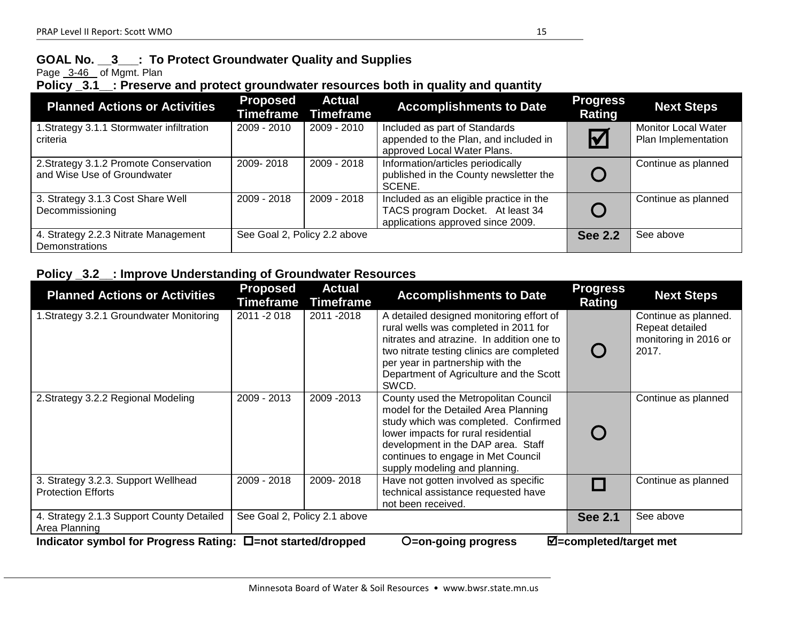#### **GOAL No. \_\_3\_\_\_: To Protect Groundwater Quality and Supplies**

Page 3-46 of Mgmt. Plan

## **Policy \_3.1\_\_: Preserve and protect groundwater resources both in quality and quantity**

| <b>Planned Actions or Activities</b>                                  | <b>Proposed</b><br><b>Timeframe</b> | <b>Actual</b><br><b>Timeframe</b> | <b>Accomplishments to Date</b>                                                                                   | <b>Progress</b><br><b>Rating</b> | <b>Next Steps</b>                                 |
|-----------------------------------------------------------------------|-------------------------------------|-----------------------------------|------------------------------------------------------------------------------------------------------------------|----------------------------------|---------------------------------------------------|
| I.Strategy 3.1.1 Stormwater infiltration<br>criteria                  | 2009 - 2010                         | $2009 - 2010$                     | Included as part of Standards<br>appended to the Plan, and included in<br>approved Local Water Plans.            | $\boldsymbol{\nabla}$            | <b>Monitor Local Water</b><br>Plan Implementation |
| 2. Strategy 3.1.2 Promote Conservation<br>and Wise Use of Groundwater | 2009-2018                           | $2009 - 2018$                     | Information/articles periodically<br>published in the County newsletter the<br>SCENE.                            |                                  | Continue as planned                               |
| 3. Strategy 3.1.3 Cost Share Well<br>Decommissioning                  | $2009 - 2018$                       | 2009 - 2018                       | Included as an eligible practice in the<br>TACS program Docket. At least 34<br>applications approved since 2009. |                                  | Continue as planned                               |
| 4. Strategy 2.2.3 Nitrate Management<br>Demonstrations                | See Goal 2, Policy 2.2 above        |                                   |                                                                                                                  | <b>See 2.2</b>                   | See above                                         |

#### **Policy \_3.2\_\_: Improve Understanding of Groundwater Resources**

| <b>Planned Actions or Activities</b>                                                                                             | <b>Proposed</b><br><b>Timeframe</b> | <b>Actual</b><br><b>Timeframe</b> | <b>Accomplishments to Date</b>                                                                                                                                                                                                                                           | <b>Progress</b><br>Rating | <b>Next Steps</b>                                                         |  |
|----------------------------------------------------------------------------------------------------------------------------------|-------------------------------------|-----------------------------------|--------------------------------------------------------------------------------------------------------------------------------------------------------------------------------------------------------------------------------------------------------------------------|---------------------------|---------------------------------------------------------------------------|--|
| 1. Strategy 3.2.1 Groundwater Monitoring                                                                                         | 2011 - 2018                         | 2011 - 2018                       | A detailed designed monitoring effort of<br>rural wells was completed in 2011 for<br>nitrates and atrazine. In addition one to<br>two nitrate testing clinics are completed<br>per year in partnership with the<br>Department of Agriculture and the Scott<br>SWCD.      |                           | Continue as planned.<br>Repeat detailed<br>monitoring in 2016 or<br>2017. |  |
| 2. Strategy 3.2.2 Regional Modeling                                                                                              | 2009 - 2013                         | 2009 - 2013                       | County used the Metropolitan Council<br>model for the Detailed Area Planning<br>study which was completed. Confirmed<br>lower impacts for rural residential<br>development in the DAP area. Staff<br>continues to engage in Met Council<br>supply modeling and planning. |                           | Continue as planned                                                       |  |
| 3. Strategy 3.2.3. Support Wellhead<br><b>Protection Efforts</b>                                                                 | 2009 - 2018                         | 2009-2018                         | Have not gotten involved as specific<br>technical assistance requested have<br>not been received.                                                                                                                                                                        |                           | Continue as planned                                                       |  |
| 4. Strategy 2.1.3 Support County Detailed<br>Area Planning                                                                       | See Goal 2, Policy 2.1 above        |                                   |                                                                                                                                                                                                                                                                          | <b>See 2.1</b>            | See above                                                                 |  |
| Indicator symbol for Progress Rating: $\square$ =not started/dropped<br>$\boxtimes$ =completed/target met<br>O=on-going progress |                                     |                                   |                                                                                                                                                                                                                                                                          |                           |                                                                           |  |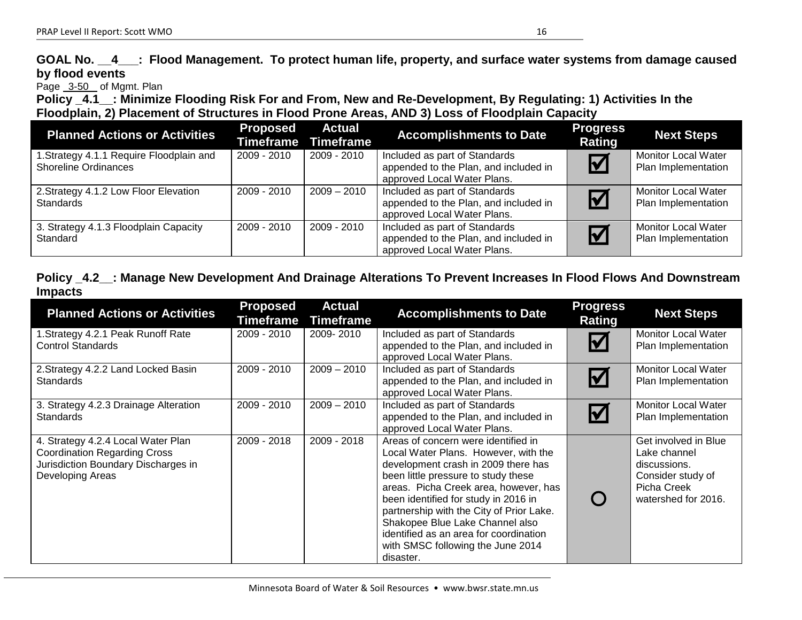**GOAL No. \_\_4\_\_\_: Flood Management. To protect human life, property, and surface water systems from damage caused by flood events**

Page 3-50 of Mgmt. Plan

**Policy \_4.1\_\_: Minimize Flooding Risk For and From, New and Re-Development, By Regulating: 1) Activities In the Floodplain, 2) Placement of Structures in Flood Prone Areas, AND 3) Loss of Floodplain Capacity**

| <b>Planned Actions or Activities</b>                                 | <b>Proposed</b><br><b>Timeframe</b> | <b>Actual</b><br>Timeframe <sup>1</sup> | <b>Accomplishments to Date</b>                                                                        | <b>Progress</b><br>Rating | <b>Next Steps</b>                                 |
|----------------------------------------------------------------------|-------------------------------------|-----------------------------------------|-------------------------------------------------------------------------------------------------------|---------------------------|---------------------------------------------------|
| Strategy 4.1.1 Require Floodplain and<br><b>Shoreline Ordinances</b> | 2009 - 2010                         | 2009 - 2010                             | Included as part of Standards<br>appended to the Plan, and included in<br>approved Local Water Plans. | $\boldsymbol{\nabla}$     | <b>Monitor Local Water</b><br>Plan Implementation |
| 2. Strategy 4.1.2 Low Floor Elevation<br>Standards                   | $2009 - 2010$                       | $2009 - 2010$                           | Included as part of Standards<br>appended to the Plan, and included in<br>approved Local Water Plans. | $\blacktriangledown$      | <b>Monitor Local Water</b><br>Plan Implementation |
| 3. Strategy 4.1.3 Floodplain Capacity<br>Standard                    | $2009 - 2010$                       | 2009 - 2010                             | Included as part of Standards<br>appended to the Plan, and included in<br>approved Local Water Plans. | $\boldsymbol{\nabla}$     | <b>Monitor Local Water</b><br>Plan Implementation |

|                |  | Policy _4.2_: Manage New Development And Drainage Alterations To Prevent Increases In Flood Flows And Downstream |
|----------------|--|------------------------------------------------------------------------------------------------------------------|
| <b>Impacts</b> |  |                                                                                                                  |

| <b>Planned Actions or Activities</b>                                                                                                 | <b>Proposed</b><br>Timeframe | <b>Actual</b><br><b>Timeframe</b> | <b>Accomplishments to Date</b>                                                                                                                                                                                                                                                                                                                                                                                        | <b>Progress</b><br>Rating | <b>Next Steps</b>                                                                                               |
|--------------------------------------------------------------------------------------------------------------------------------------|------------------------------|-----------------------------------|-----------------------------------------------------------------------------------------------------------------------------------------------------------------------------------------------------------------------------------------------------------------------------------------------------------------------------------------------------------------------------------------------------------------------|---------------------------|-----------------------------------------------------------------------------------------------------------------|
| 1. Strategy 4.2.1 Peak Runoff Rate<br><b>Control Standards</b>                                                                       | 2009 - 2010                  | 2009-2010                         | Included as part of Standards<br>appended to the Plan, and included in<br>approved Local Water Plans.                                                                                                                                                                                                                                                                                                                 | V                         | <b>Monitor Local Water</b><br>Plan Implementation                                                               |
| 2. Strategy 4.2.2 Land Locked Basin<br><b>Standards</b>                                                                              | $2009 - 2010$                | $2009 - 2010$                     | Included as part of Standards<br>appended to the Plan, and included in<br>approved Local Water Plans.                                                                                                                                                                                                                                                                                                                 |                           | <b>Monitor Local Water</b><br>Plan Implementation                                                               |
| 3. Strategy 4.2.3 Drainage Alteration<br><b>Standards</b>                                                                            | 2009 - 2010                  | $2009 - 2010$                     | Included as part of Standards<br>appended to the Plan, and included in<br>approved Local Water Plans.                                                                                                                                                                                                                                                                                                                 |                           | <b>Monitor Local Water</b><br>Plan Implementation                                                               |
| 4. Strategy 4.2.4 Local Water Plan<br><b>Coordination Regarding Cross</b><br>Jurisdiction Boundary Discharges in<br>Developing Areas | 2009 - 2018                  | 2009 - 2018                       | Areas of concern were identified in<br>Local Water Plans. However, with the<br>development crash in 2009 there has<br>been little pressure to study these<br>areas. Picha Creek area, however, has<br>been identified for study in 2016 in<br>partnership with the City of Prior Lake.<br>Shakopee Blue Lake Channel also<br>identified as an area for coordination<br>with SMSC following the June 2014<br>disaster. |                           | Get involved in Blue<br>Lake channel<br>discussions.<br>Consider study of<br>Picha Creek<br>watershed for 2016. |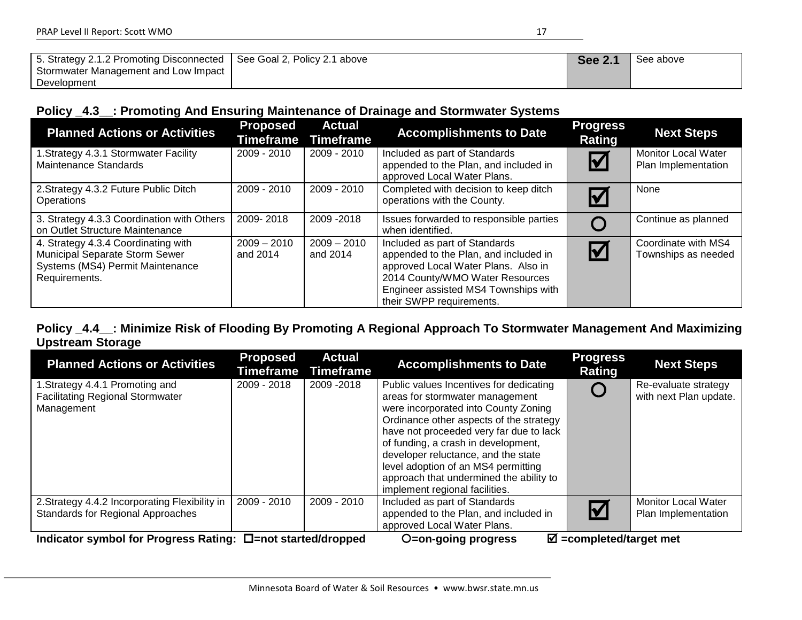| 5. Strategy 2.1.2 Promoting Disconnected   See Goal 2, Policy 2.1 above | <b>See 2.1</b> | $\P$ See above |
|-------------------------------------------------------------------------|----------------|----------------|
| Stormwater Management and Low Impact                                    |                |                |
| Development                                                             |                |                |

#### **Policy \_4.3\_\_: Promoting And Ensuring Maintenance of Drainage and Stormwater Systems**

| <b>Planned Actions or Activities</b>                                                                                       | <b>Proposed</b><br><b>Timeframe</b> | <b>Actual</b><br>Timeframe | <b>Accomplishments to Date</b>                                                                                                                                                                                       | <b>Progress</b><br>Rating | <b>Next Steps</b>                                 |
|----------------------------------------------------------------------------------------------------------------------------|-------------------------------------|----------------------------|----------------------------------------------------------------------------------------------------------------------------------------------------------------------------------------------------------------------|---------------------------|---------------------------------------------------|
| 1. Strategy 4.3.1 Stormwater Facility<br>Maintenance Standards                                                             | 2009 - 2010                         | 2009 - 2010                | Included as part of Standards<br>appended to the Plan, and included in<br>approved Local Water Plans.                                                                                                                | $\boldsymbol{\nabla}$     | <b>Monitor Local Water</b><br>Plan Implementation |
| 2. Strategy 4.3.2 Future Public Ditch<br>Operations                                                                        | $2009 - 2010$                       | 2009 - 2010                | Completed with decision to keep ditch<br>operations with the County.                                                                                                                                                 |                           | None                                              |
| 3. Strategy 4.3.3 Coordination with Others<br>on Outlet Structure Maintenance                                              | 2009-2018                           | 2009 - 2018                | Issues forwarded to responsible parties<br>when identified.                                                                                                                                                          |                           | Continue as planned                               |
| 4. Strategy 4.3.4 Coordinating with<br>Municipal Separate Storm Sewer<br>Systems (MS4) Permit Maintenance<br>Requirements. | $2009 - 2010$<br>and 2014           | $2009 - 2010$<br>and 2014  | Included as part of Standards<br>appended to the Plan, and included in<br>approved Local Water Plans. Also in<br>2014 County/WMO Water Resources<br>Engineer assisted MS4 Townships with<br>their SWPP requirements. | $\bm \nabla$              | Coordinate with MS4<br>Townships as needed        |

#### **Policy \_4.4\_\_: Minimize Risk of Flooding By Promoting A Regional Approach To Stormwater Management And Maximizing Upstream Storage**

| <b>Planned Actions or Activities</b>                                                     | <b>Proposed</b><br><b>Timeframe</b> | <b>Actual</b><br><b>Timeframe</b> | <b>Accomplishments to Date</b>                                                                                                                                                                                                                                                                                                                                                                             | <b>Progress</b><br>Rating | <b>Next Steps</b>                                 |
|------------------------------------------------------------------------------------------|-------------------------------------|-----------------------------------|------------------------------------------------------------------------------------------------------------------------------------------------------------------------------------------------------------------------------------------------------------------------------------------------------------------------------------------------------------------------------------------------------------|---------------------------|---------------------------------------------------|
| 1. Strategy 4.4.1 Promoting and<br><b>Facilitating Regional Stormwater</b><br>Management | 2009 - 2018                         | 2009 - 2018                       | Public values Incentives for dedicating<br>areas for stormwater management<br>were incorporated into County Zoning<br>Ordinance other aspects of the strategy<br>have not proceeded very far due to lack<br>of funding, a crash in development,<br>developer reluctance, and the state<br>level adoption of an MS4 permitting<br>approach that undermined the ability to<br>implement regional facilities. |                           | Re-evaluate strategy<br>with next Plan update.    |
| 2. Strategy 4.4.2 Incorporating Flexibility in<br>Standards for Regional Approaches      | 2009 - 2010                         | 2009 - 2010                       | Included as part of Standards<br>appended to the Plan, and included in<br>approved Local Water Plans.<br>_                                                                                                                                                                                                                                                                                                 | $\blacktriangledown$      | <b>Monitor Local Water</b><br>Plan Implementation |

**Indicator symbol for Progress Rating: =not started/dropped =on-going progress =completed/target met**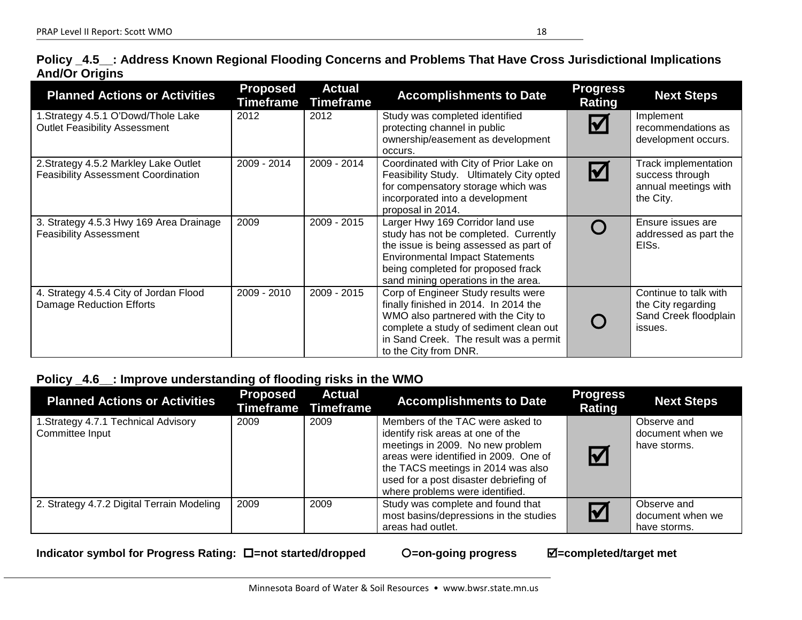| <b>Planned Actions or Activities</b>                                                | <b>Proposed</b><br><b>Timeframe</b> | <b>Actual</b><br><b>Timeframe</b> | <b>Accomplishments to Date</b>                                                                                                                                                                                                             | <b>Progress</b><br>Rating | <b>Next Steps</b>                                                                   |
|-------------------------------------------------------------------------------------|-------------------------------------|-----------------------------------|--------------------------------------------------------------------------------------------------------------------------------------------------------------------------------------------------------------------------------------------|---------------------------|-------------------------------------------------------------------------------------|
| 1. Strategy 4.5.1 O'Dowd/Thole Lake<br><b>Outlet Feasibility Assessment</b>         | 2012                                | 2012                              | Study was completed identified<br>protecting channel in public<br>ownership/easement as development<br>occurs.                                                                                                                             | IV                        | Implement<br>recommendations as<br>development occurs.                              |
| 2. Strategy 4.5.2 Markley Lake Outlet<br><b>Feasibility Assessment Coordination</b> | 2009 - 2014                         | 2009 - 2014                       | Coordinated with City of Prior Lake on<br>Feasibility Study. Ultimately City opted<br>for compensatory storage which was<br>incorporated into a development<br>proposal in 2014.                                                           | $\blacktriangledown$      | <b>Track implementation</b><br>success through<br>annual meetings with<br>the City. |
| 3. Strategy 4.5.3 Hwy 169 Area Drainage<br><b>Feasibility Assessment</b>            | 2009                                | 2009 - 2015                       | Larger Hwy 169 Corridor land use<br>study has not be completed. Currently<br>the issue is being assessed as part of<br><b>Environmental Impact Statements</b><br>being completed for proposed frack<br>sand mining operations in the area. |                           | Ensure issues are<br>addressed as part the<br>EISs.                                 |
| 4. Strategy 4.5.4 City of Jordan Flood<br><b>Damage Reduction Efforts</b>           | 2009 - 2010                         | 2009 - 2015                       | Corp of Engineer Study results were<br>finally finished in 2014. In 2014 the<br>WMO also partnered with the City to<br>complete a study of sediment clean out<br>in Sand Creek. The result was a permit<br>to the City from DNR.           |                           | Continue to talk with<br>the City regarding<br>Sand Creek floodplain<br>issues.     |

#### **Policy \_4.6\_\_: Improve understanding of flooding risks in the WMO**

| <b>Planned Actions or Activities</b>                    | <b>Proposed</b> | <b>Actual</b><br>Timeframe Timeframe | <b>Accomplishments to Date</b>                                                                                                                                                                                                                                        | <b>Progress</b><br>Rating | <b>Next Steps</b>                               |
|---------------------------------------------------------|-----------------|--------------------------------------|-----------------------------------------------------------------------------------------------------------------------------------------------------------------------------------------------------------------------------------------------------------------------|---------------------------|-------------------------------------------------|
| 1. Strategy 4.7.1 Technical Advisory<br>Committee Input | 2009            | 2009                                 | Members of the TAC were asked to<br>identify risk areas at one of the<br>meetings in 2009. No new problem<br>areas were identified in 2009. One of<br>the TACS meetings in 2014 was also<br>used for a post disaster debriefing of<br>where problems were identified. | $\blacktriangledown$      | Observe and<br>document when we<br>have storms. |
| 2. Strategy 4.7.2 Digital Terrain Modeling              | 2009            | 2009                                 | Study was complete and found that<br>most basins/depressions in the studies<br>areas had outlet.                                                                                                                                                                      | $\blacktriangledown$      | Observe and<br>document when we<br>have storms. |

**Indicator symbol for Progress Rating: =not started/dropped =on-going progress =completed/target met**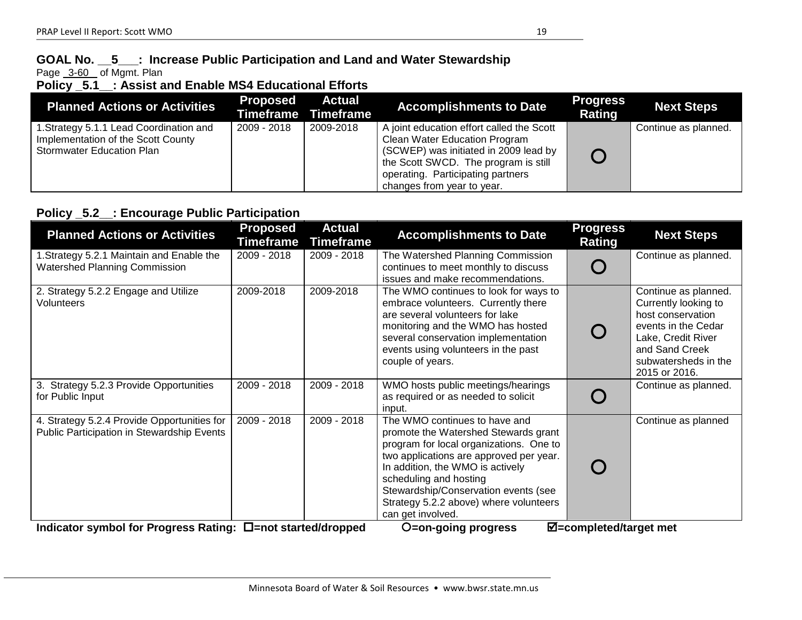#### **GOAL No. \_\_5\_\_\_: Increase Public Participation and Land and Water Stewardship**

Page 3-60 of Mgmt. Plan

**Policy \_5.1\_\_: Assist and Enable MS4 Educational Efforts**

| <b>Planned Actions or Activities</b>                                                                    | <b>Proposed</b> | <b>Actual</b><br>Timeframe Timeframe | <b>Accomplishments to Date</b>                                                                                                                                                                                                        | <b>Progress</b><br><b>Rating</b> | <b>Next Steps</b>    |
|---------------------------------------------------------------------------------------------------------|-----------------|--------------------------------------|---------------------------------------------------------------------------------------------------------------------------------------------------------------------------------------------------------------------------------------|----------------------------------|----------------------|
| Strategy 5.1.1 Lead Coordination and<br>Implementation of the Scott County<br>Stormwater Education Plan | 2009 - 2018     | 2009-2018                            | A joint education effort called the Scott<br><b>Clean Water Education Program</b><br>(SCWEP) was initiated in 2009 lead by<br>the Scott SWCD. The program is still<br>operating. Participating partners<br>changes from year to year. |                                  | Continue as planned. |

#### **Policy \_5.2\_\_: Encourage Public Participation**

| <b>Planned Actions or Activities</b>                                                      | <b>Proposed</b><br><b>Timeframe</b> | <b>Actual</b><br><b>Timeframe</b> | <b>Accomplishments to Date</b>                                                                                                                                                                                                                                                                                                   | <b>Progress</b><br>Rating         | <b>Next Steps</b>                                                                                                                                                         |
|-------------------------------------------------------------------------------------------|-------------------------------------|-----------------------------------|----------------------------------------------------------------------------------------------------------------------------------------------------------------------------------------------------------------------------------------------------------------------------------------------------------------------------------|-----------------------------------|---------------------------------------------------------------------------------------------------------------------------------------------------------------------------|
| 1. Strategy 5.2.1 Maintain and Enable the<br><b>Watershed Planning Commission</b>         | 2009 - 2018                         | 2009 - 2018                       | The Watershed Planning Commission<br>continues to meet monthly to discuss<br>issues and make recommendations.                                                                                                                                                                                                                    | $\bigcap$                         | Continue as planned.                                                                                                                                                      |
| 2. Strategy 5.2.2 Engage and Utilize<br>Volunteers                                        | 2009-2018                           | 2009-2018                         | The WMO continues to look for ways to<br>embrace volunteers. Currently there<br>are several volunteers for lake<br>monitoring and the WMO has hosted<br>several conservation implementation<br>events using volunteers in the past<br>couple of years.                                                                           |                                   | Continue as planned.<br>Currently looking to<br>host conservation<br>events in the Cedar<br>Lake, Credit River<br>and Sand Creek<br>subwatersheds in the<br>2015 or 2016. |
| 3. Strategy 5.2.3 Provide Opportunities<br>for Public Input                               | 2009 - 2018                         | 2009 - 2018                       | WMO hosts public meetings/hearings<br>as required or as needed to solicit<br>input.                                                                                                                                                                                                                                              |                                   | Continue as planned.                                                                                                                                                      |
| 4. Strategy 5.2.4 Provide Opportunities for<br>Public Participation in Stewardship Events | 2009 - 2018                         | 2009 - 2018                       | The WMO continues to have and<br>promote the Watershed Stewards grant<br>program for local organizations. One to<br>two applications are approved per year.<br>In addition, the WMO is actively<br>scheduling and hosting<br>Stewardship/Conservation events (see<br>Strategy 5.2.2 above) where volunteers<br>can get involved. |                                   | Continue as planned                                                                                                                                                       |
| Indicator symbol for Progress Rating: $\square$ =not started/dropped                      |                                     |                                   | O=on-going progress                                                                                                                                                                                                                                                                                                              | $\boxtimes$ =completed/target met |                                                                                                                                                                           |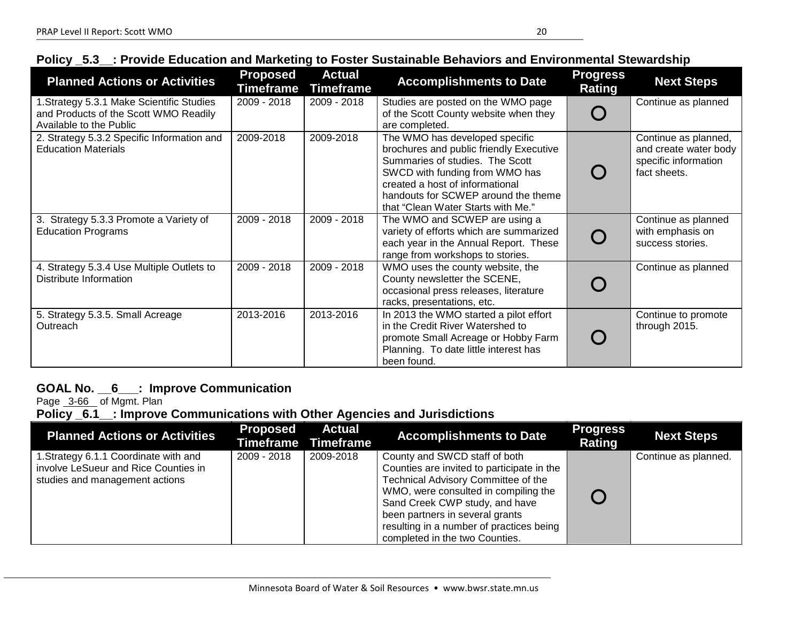| <b>Planned Actions or Activities</b>                                                                          | <b>Proposed</b><br>Timeframe | <b>Actual</b><br><b>Timeframe</b> | <b>Accomplishments to Date</b>                                                                                                                                                                                                                                 | <b>Progress</b><br>Rating | <b>Next Steps</b>                                                                     |
|---------------------------------------------------------------------------------------------------------------|------------------------------|-----------------------------------|----------------------------------------------------------------------------------------------------------------------------------------------------------------------------------------------------------------------------------------------------------------|---------------------------|---------------------------------------------------------------------------------------|
| 1. Strategy 5.3.1 Make Scientific Studies<br>and Products of the Scott WMO Readily<br>Available to the Public | 2009 - 2018                  | 2009 - 2018                       | Studies are posted on the WMO page<br>of the Scott County website when they<br>are completed.                                                                                                                                                                  |                           | Continue as planned                                                                   |
| 2. Strategy 5.3.2 Specific Information and<br><b>Education Materials</b>                                      | 2009-2018                    | 2009-2018                         | The WMO has developed specific<br>brochures and public friendly Executive<br>Summaries of studies. The Scott<br>SWCD with funding from WMO has<br>created a host of informational<br>handouts for SCWEP around the theme<br>that "Clean Water Starts with Me." |                           | Continue as planned,<br>and create water body<br>specific information<br>fact sheets. |
| 3. Strategy 5.3.3 Promote a Variety of<br><b>Education Programs</b>                                           | 2009 - 2018                  | 2009 - 2018                       | The WMO and SCWEP are using a<br>variety of efforts which are summarized<br>each year in the Annual Report. These<br>range from workshops to stories.                                                                                                          |                           | Continue as planned<br>with emphasis on<br>success stories.                           |
| 4. Strategy 5.3.4 Use Multiple Outlets to<br>Distribute Information                                           | $2009 - 2018$                | 2009 - 2018                       | WMO uses the county website, the<br>County newsletter the SCENE,<br>occasional press releases, literature<br>racks, presentations, etc.                                                                                                                        |                           | Continue as planned                                                                   |
| 5. Strategy 5.3.5. Small Acreage<br>Outreach                                                                  | 2013-2016                    | 2013-2016                         | In 2013 the WMO started a pilot effort<br>in the Credit River Watershed to<br>promote Small Acreage or Hobby Farm<br>Planning. To date little interest has<br>been found.                                                                                      |                           | Continue to promote<br>through 2015.                                                  |

#### **Policy \_5.3\_\_: Provide Education and Marketing to Foster Sustainable Behaviors and Environmental Stewardship**

## **GOAL No. \_\_6\_\_\_: Improve Communication**

Page 3-66 of Mgmt. Plan

#### **Policy \_6.1\_\_: Improve Communications with Other Agencies and Jurisdictions**

| <b>Planned Actions or Activities</b>                                                                            | <b>Proposed</b> | <b>Actual</b><br>Timeframe Timeframe | <b>Accomplishments to Date</b>                                                                                                                                                                                                                                                                                | <b>Progress</b><br>Rating | <b>Next Steps</b>    |
|-----------------------------------------------------------------------------------------------------------------|-----------------|--------------------------------------|---------------------------------------------------------------------------------------------------------------------------------------------------------------------------------------------------------------------------------------------------------------------------------------------------------------|---------------------------|----------------------|
| 1. Strategy 6.1.1 Coordinate with and<br>involve LeSueur and Rice Counties in<br>studies and management actions | 2009 - 2018     | 2009-2018                            | County and SWCD staff of both<br>Counties are invited to participate in the<br>Technical Advisory Committee of the<br>WMO, were consulted in compiling the<br>Sand Creek CWP study, and have<br>been partners in several grants<br>resulting in a number of practices being<br>completed in the two Counties. |                           | Continue as planned. |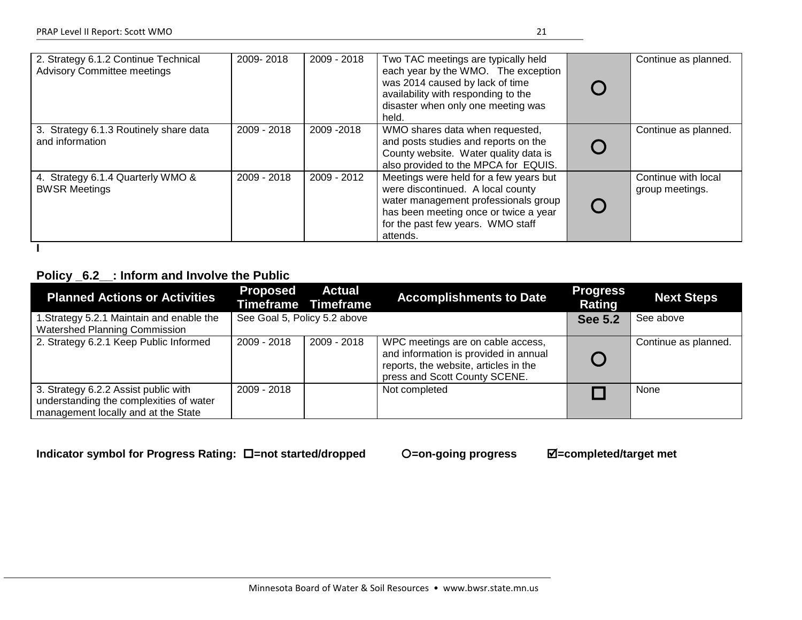| 2. Strategy 6.1.2 Continue Technical<br><b>Advisory Committee meetings</b> | 2009-2018   | 2009 - 2018 | Two TAC meetings are typically held<br>each year by the WMO. The exception<br>was 2014 caused by lack of time<br>availability with responding to the<br>disaster when only one meeting was<br>held.           | Continue as planned.                   |
|----------------------------------------------------------------------------|-------------|-------------|---------------------------------------------------------------------------------------------------------------------------------------------------------------------------------------------------------------|----------------------------------------|
| 3. Strategy 6.1.3 Routinely share data<br>and information                  | 2009 - 2018 | 2009 - 2018 | WMO shares data when requested,<br>and posts studies and reports on the<br>County website. Water quality data is<br>also provided to the MPCA for EQUIS.                                                      | Continue as planned.                   |
| 4. Strategy 6.1.4 Quarterly WMO &<br><b>BWSR Meetings</b>                  | 2009 - 2018 | 2009 - 2012 | Meetings were held for a few years but<br>were discontinued. A local county<br>water management professionals group<br>has been meeting once or twice a year<br>for the past few years. WMO staff<br>attends. | Continue with local<br>group meetings. |

#### **Policy \_6.2\_\_: Inform and Involve the Public**

| <b>Planned Actions or Activities</b>                                                                                   | <b>Proposed</b>              | <b>Actual</b><br><b>Timeframe Timeframe</b> | <b>Accomplishments to Date</b>                                                                                                                       | <b>Progress</b><br>Rating | <b>Next Steps</b>    |
|------------------------------------------------------------------------------------------------------------------------|------------------------------|---------------------------------------------|------------------------------------------------------------------------------------------------------------------------------------------------------|---------------------------|----------------------|
| 1.Strategy 5.2.1 Maintain and enable the<br><b>Watershed Planning Commission</b>                                       | See Goal 5, Policy 5.2 above |                                             |                                                                                                                                                      | <b>See 5.2</b>            | See above            |
| 2. Strategy 6.2.1 Keep Public Informed                                                                                 | 2009 - 2018                  | 2009 - 2018                                 | WPC meetings are on cable access,<br>and information is provided in annual<br>reports, the website, articles in the<br>press and Scott County SCENE. |                           | Continue as planned. |
| 3. Strategy 6.2.2 Assist public with<br>understanding the complexities of water<br>management locally and at the State | 2009 - 2018                  |                                             | Not completed                                                                                                                                        |                           | None                 |

**Indicator symbol for Progress Rating: =not started/dropped =on-going progress =completed/target met**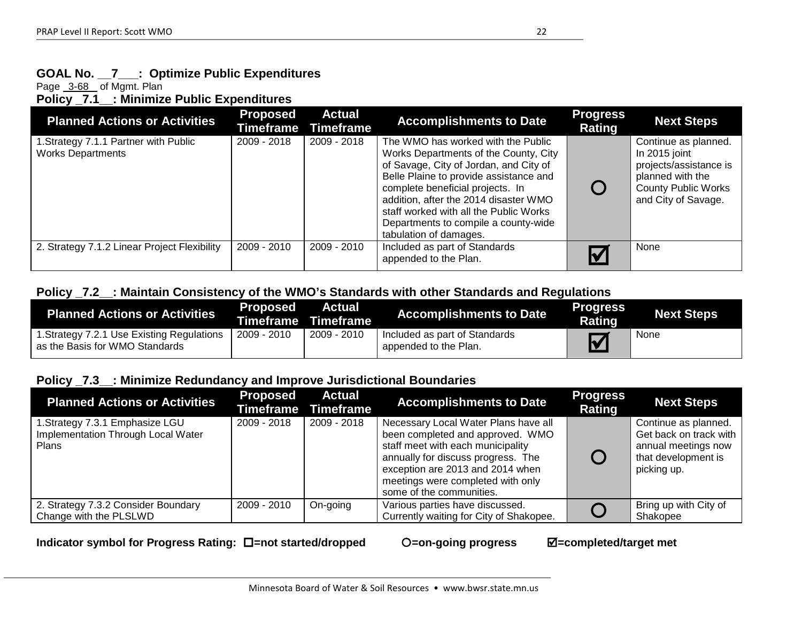#### **GOAL No. \_\_7\_\_\_: Optimize Public Expenditures**

Page 3-68 of Mgmt. Plan

**Policy \_7.1\_\_: Minimize Public Expenditures**

| <b>Planned Actions or Activities</b>                              | <b>Proposed</b><br>Timeframe | <b>Actual</b><br>Timeframe | <b>Accomplishments to Date</b>                                                                                                                                                                                                                                                                                                                           | <b>Progress</b><br>Rating | <b>Next Steps</b>                                                                                                                        |
|-------------------------------------------------------------------|------------------------------|----------------------------|----------------------------------------------------------------------------------------------------------------------------------------------------------------------------------------------------------------------------------------------------------------------------------------------------------------------------------------------------------|---------------------------|------------------------------------------------------------------------------------------------------------------------------------------|
| 1. Strategy 7.1.1 Partner with Public<br><b>Works Departments</b> | $2009 - 2018$                | 2009 - 2018                | The WMO has worked with the Public<br>Works Departments of the County, City<br>of Savage, City of Jordan, and City of<br>Belle Plaine to provide assistance and<br>complete beneficial projects. In<br>addition, after the 2014 disaster WMO<br>staff worked with all the Public Works<br>Departments to compile a county-wide<br>tabulation of damages. |                           | Continue as planned.<br>In 2015 joint<br>projects/assistance is<br>planned with the<br><b>County Public Works</b><br>and City of Savage. |
| 2. Strategy 7.1.2 Linear Project Flexibility                      | 2009 - 2010                  | 2009 - 2010                | Included as part of Standards<br>appended to the Plan.                                                                                                                                                                                                                                                                                                   | $\blacktriangledown$      | None                                                                                                                                     |

#### **Policy \_7.2\_\_: Maintain Consistency of the WMO's Standards with other Standards and Regulations**

| <b>Planned Actions or Activities</b>                                           | Proposed<br>Timeframe Timeframe | Actual      | <b>Accomplishments to Date</b>                         | <b>Progress</b><br><b>Rating</b> | <b>Next Steps</b> |
|--------------------------------------------------------------------------------|---------------------------------|-------------|--------------------------------------------------------|----------------------------------|-------------------|
| 1. Strategy 7.2.1 Use Existing Regulations<br>l as the Basis for WMO Standards | 2009 - 2010                     | 2009 - 2010 | Included as part of Standards<br>appended to the Plan. | $\boldsymbol{\nabla}$            | None              |

#### **Policy \_7.3\_\_: Minimize Redundancy and Improve Jurisdictional Boundaries**

| <b>Planned Actions or Activities</b>                                           | <b>Proposed</b><br><b>Timeframe</b> | <b>Actual</b><br><b>Timeframe</b> | <b>Accomplishments to Date</b>                                                                                                                                                                                                                           | <b>Progress</b><br><b>Rating</b> | <b>Next Steps</b>                                                                                           |
|--------------------------------------------------------------------------------|-------------------------------------|-----------------------------------|----------------------------------------------------------------------------------------------------------------------------------------------------------------------------------------------------------------------------------------------------------|----------------------------------|-------------------------------------------------------------------------------------------------------------|
| 1. Strategy 7.3.1 Emphasize LGU<br>Implementation Through Local Water<br>Plans | $2009 - 2018$                       | 2009 - 2018                       | Necessary Local Water Plans have all<br>been completed and approved. WMO<br>staff meet with each municipality<br>annually for discuss progress. The<br>exception are 2013 and 2014 when<br>meetings were completed with only<br>some of the communities. |                                  | Continue as planned.<br>Get back on track with<br>annual meetings now<br>that development is<br>picking up. |
| 2. Strategy 7.3.2 Consider Boundary                                            | 2009 - 2010                         | On-going                          | Various parties have discussed.                                                                                                                                                                                                                          |                                  | Bring up with City of                                                                                       |
| Change with the PLSLWD                                                         |                                     |                                   | Currently waiting for City of Shakopee.                                                                                                                                                                                                                  |                                  | Shakopee                                                                                                    |

**Indicator symbol for Progress Rating: □=not started/dropped**  $\bigcirc$ =on-going progress  $\Box$ =completed/target met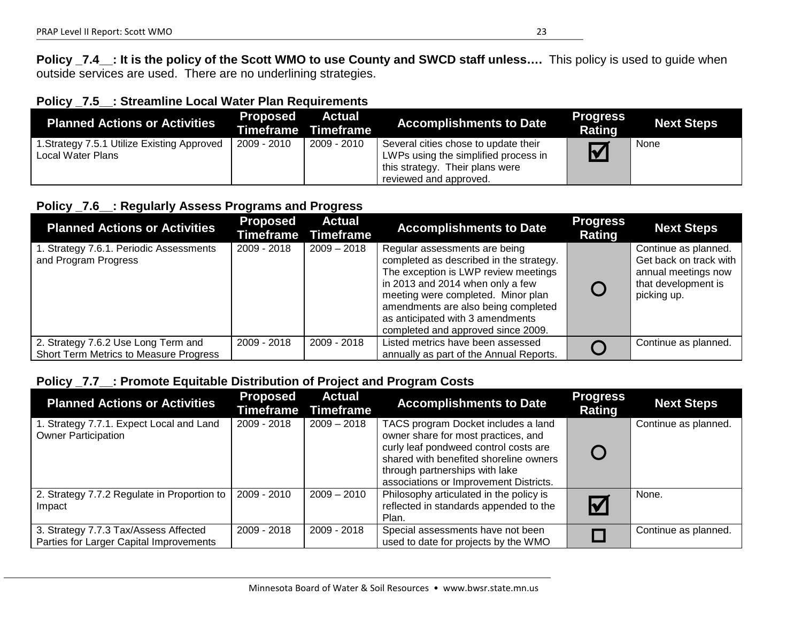**Policy \_7.4\_\_: It is the policy of the Scott WMO to use County and SWCD staff unless….** This policy is used to guide when outside services are used. There are no underlining strategies.

#### **Policy \_7.5\_\_: Streamline Local Water Plan Requirements**

| <b>Planned Actions or Activities</b>                             | Proposed    | <b>Actual</b><br>Timeframe Timeframe | <b>Accomplishments to Date</b>                                                                                                            | <b>Progress</b><br>Rating | <b>Next Steps</b> |
|------------------------------------------------------------------|-------------|--------------------------------------|-------------------------------------------------------------------------------------------------------------------------------------------|---------------------------|-------------------|
| 1. Strategy 7.5.1 Utilize Existing Approved<br>Local Water Plans | 2009 - 2010 | 2009 - 2010                          | Several cities chose to update their<br>LWPs using the simplified process in<br>this strategy. Their plans were<br>reviewed and approved. | $\blacktriangledown$      | None              |

### **Policy \_7.6\_\_: Regularly Assess Programs and Progress**

| <b>Planned Actions or Activities</b>                            | <b>Proposed</b><br><b>Timeframe</b> | <b>Actual</b><br>Timeframe | <b>Accomplishments to Date</b>                                                                                                                                                                                                                                                                              | <b>Progress</b><br>Rating | <b>Next Steps</b>                                                                                           |
|-----------------------------------------------------------------|-------------------------------------|----------------------------|-------------------------------------------------------------------------------------------------------------------------------------------------------------------------------------------------------------------------------------------------------------------------------------------------------------|---------------------------|-------------------------------------------------------------------------------------------------------------|
| 1. Strategy 7.6.1. Periodic Assessments<br>and Program Progress | 2009 - 2018                         | $2009 - 2018$              | Regular assessments are being<br>completed as described in the strategy.<br>The exception is LWP review meetings<br>in 2013 and 2014 when only a few<br>meeting were completed. Minor plan<br>amendments are also being completed<br>as anticipated with 3 amendments<br>completed and approved since 2009. |                           | Continue as planned.<br>Get back on track with<br>annual meetings now<br>that development is<br>picking up. |
| 2. Strategy 7.6.2 Use Long Term and                             | 2009 - 2018                         | 2009 - 2018                | Listed metrics have been assessed                                                                                                                                                                                                                                                                           |                           | Continue as planned.                                                                                        |
| Short Term Metrics to Measure Progress                          |                                     |                            | annually as part of the Annual Reports.                                                                                                                                                                                                                                                                     |                           |                                                                                                             |

#### **Policy \_7.7\_\_: Promote Equitable Distribution of Project and Program Costs**

| <b>Planned Actions or Activities</b>                                             | <b>Proposed</b><br>Timeframe | Actual<br><b>Timeframe</b> | <b>Accomplishments to Date</b>                                                                                                                                                                                                            | <b>Progress</b><br>Rating | <b>Next Steps</b>    |
|----------------------------------------------------------------------------------|------------------------------|----------------------------|-------------------------------------------------------------------------------------------------------------------------------------------------------------------------------------------------------------------------------------------|---------------------------|----------------------|
| 1. Strategy 7.7.1. Expect Local and Land<br><b>Owner Participation</b>           | 2009 - 2018                  | $2009 - 2018$              | TACS program Docket includes a land<br>owner share for most practices, and<br>curly leaf pondweed control costs are<br>shared with benefited shoreline owners<br>through partnerships with lake<br>associations or Improvement Districts. | ( )                       | Continue as planned. |
| 2. Strategy 7.7.2 Regulate in Proportion to<br>Impact                            | 2009 - 2010                  | $2009 - 2010$              | Philosophy articulated in the policy is<br>reflected in standards appended to the<br>Plan.                                                                                                                                                | $\blacktriangledown$      | None.                |
| 3. Strategy 7.7.3 Tax/Assess Affected<br>Parties for Larger Capital Improvements | 2009 - 2018                  | $2009 - 2018$              | Special assessments have not been<br>used to date for projects by the WMO                                                                                                                                                                 |                           | Continue as planned. |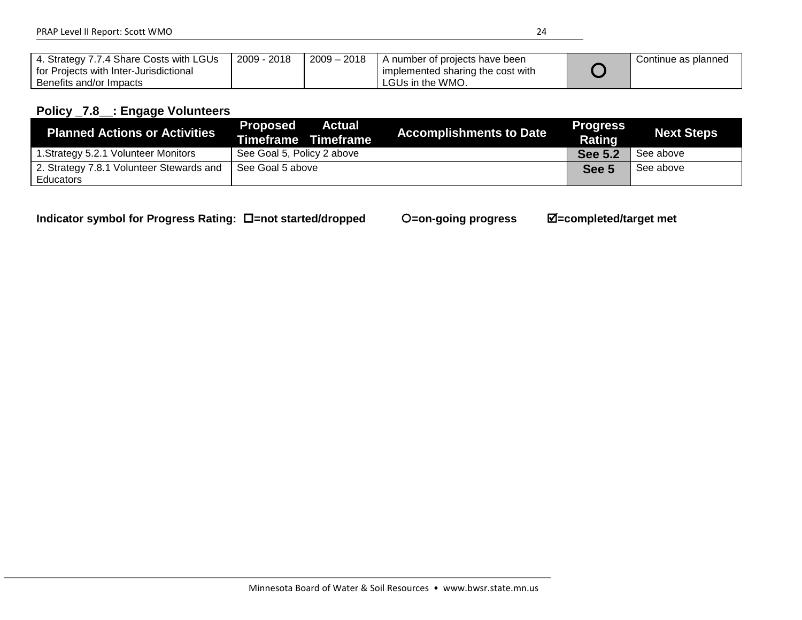| 4. Strategy 7.7.4 Share Costs with LGUs  | 2009 - 2018 | $2009 - 2018$ | A number of projects have been    | Continue as planned |
|------------------------------------------|-------------|---------------|-----------------------------------|---------------------|
|                                          |             |               |                                   |                     |
| l for Proiects with Inter-Jurisdictional |             |               | implemented sharing the cost with |                     |
| Benefits and/or Impacts                  |             |               | LGUs in the WMO.                  |                     |

#### **Policy \_7.8\_\_: Engage Volunteers**

| <b>Planned Actions or Activities</b>                         | <b>Actual</b><br><b>Proposed</b><br>Timeframe Timeframe | <b>Accomplishments to Date</b> | <b>Progress</b><br><b>Rating</b> | <b>Next Steps</b> |
|--------------------------------------------------------------|---------------------------------------------------------|--------------------------------|----------------------------------|-------------------|
| 1. Strategy 5.2.1 Volunteer Monitors                         | See Goal 5, Policy 2 above                              |                                | <b>See 5.2</b>                   | See above         |
| 2. Strategy 7.8.1 Volunteer Stewards and<br><b>Educators</b> | See Goal 5 above                                        |                                | See 5                            | See above         |

**Indicator symbol for Progress Rating: =not started/dropped =on-going progress =completed/target met**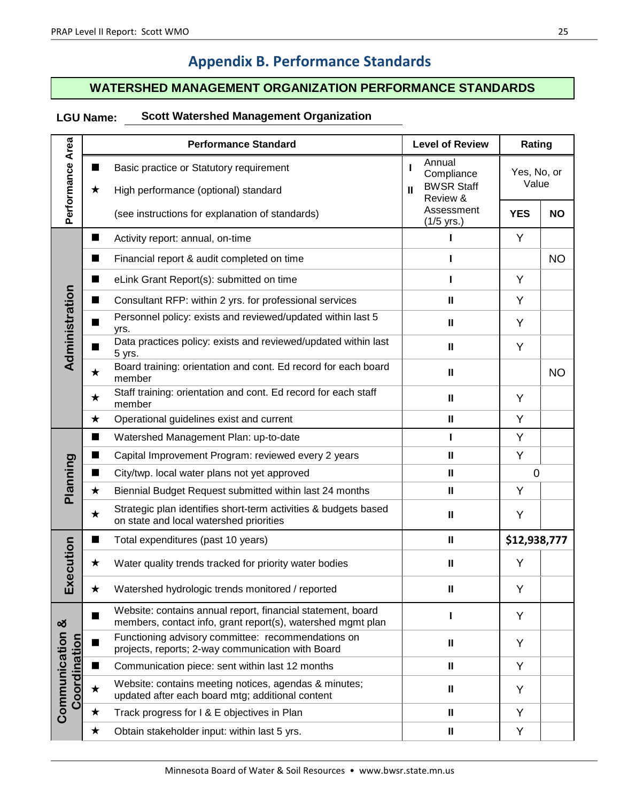## **Appendix B. Performance Standards**

#### <span id="page-28-0"></span>**WATERSHED MANAGEMENT ORGANIZATION PERFORMANCE STANDARDS**

#### **LGU Name: Scott Watershed Management Organization**

|                               |            | <b>Performance Standard</b>                                                                                                | <b>Level of Review</b>                    | Rating               |           |
|-------------------------------|------------|----------------------------------------------------------------------------------------------------------------------------|-------------------------------------------|----------------------|-----------|
| Performance Area              |            | Basic practice or Statutory requirement                                                                                    | Annual<br>Compliance<br><b>BWSR Staff</b> | Yes, No, or<br>Value |           |
|                               | $\star$    | High performance (optional) standard                                                                                       | Ш<br>Review &                             |                      |           |
|                               |            | (see instructions for explanation of standards)                                                                            | Assessment<br>$(1/5$ yrs.)                | <b>YES</b>           | <b>NO</b> |
|                               | ■          | Activity report: annual, on-time                                                                                           |                                           | Y                    |           |
|                               | ■          | Financial report & audit completed on time                                                                                 |                                           |                      | <b>NO</b> |
|                               | ■          | eLink Grant Report(s): submitted on time                                                                                   |                                           | Y                    |           |
|                               | ٠          | Consultant RFP: within 2 yrs. for professional services                                                                    | Ш                                         | Y                    |           |
|                               |            | Personnel policy: exists and reviewed/updated within last 5<br>yrs.                                                        | $\mathbf{u}$                              | Y                    |           |
| Administration                |            | Data practices policy: exists and reviewed/updated within last<br>5 yrs.                                                   | $\mathbf{u}$                              | Y                    |           |
|                               | ★          | Board training: orientation and cont. Ed record for each board<br>member                                                   | Ш                                         |                      | <b>NO</b> |
|                               | $\bigstar$ | Staff training: orientation and cont. Ed record for each staff<br>member                                                   | $\mathbf{I}$                              | Y                    |           |
|                               | $\bigstar$ | Operational guidelines exist and current                                                                                   | Ш                                         | Y                    |           |
|                               | ■          | Watershed Management Plan: up-to-date                                                                                      |                                           | Y                    |           |
|                               | ٠          | Capital Improvement Program: reviewed every 2 years                                                                        | $\mathbf{I}$                              | Y                    |           |
| Planning                      |            | City/twp. local water plans not yet approved                                                                               | $\mathbf{I}$                              | 0                    |           |
|                               | ★          | Biennial Budget Request submitted within last 24 months                                                                    | $\mathbf{I}$                              | Y                    |           |
|                               | $\bigstar$ | Strategic plan identifies short-term activities & budgets based<br>on state and local watershed priorities                 | Ш                                         | Y                    |           |
|                               | ■          | Total expenditures (past 10 years)                                                                                         | $\mathbf{I}$                              | \$12,938,777         |           |
| xecution                      | $\star$    | Water quality trends tracked for priority water bodies                                                                     | $\mathbf{I}$                              | Y                    |           |
| ш                             | ▼          | Watershed hydrologic trends monitored / reported                                                                           | Ш                                         | Υ                    |           |
| ಳ                             | H          | Website: contains annual report, financial statement, board<br>members, contact info, grant report(s), watershed mgmt plan |                                           | Y                    |           |
|                               | ٠          | Functioning advisory committee: recommendations on<br>projects, reports; 2-way communication with Board                    | $\mathbf{I}$                              | Y                    |           |
|                               | ш          | Communication piece: sent within last 12 months                                                                            | $\mathbf{II}$                             | Y                    |           |
| Communication<br>Coordination | $\bigstar$ | Website: contains meeting notices, agendas & minutes;<br>updated after each board mtg; additional content                  | Ш                                         | Y                    |           |
|                               | $\star$    | Track progress for I & E objectives in Plan                                                                                | Ш                                         | Y                    |           |
|                               | $\star$    | Obtain stakeholder input: within last 5 yrs.                                                                               | Ш                                         | Y                    |           |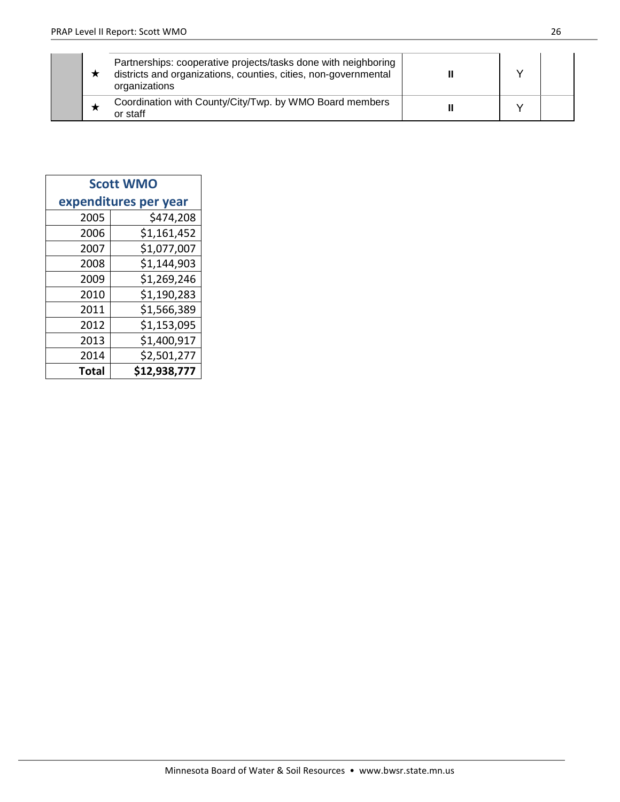|  | Partnerships: cooperative projects/tasks done with neighboring<br>districts and organizations, counties, cities, non-governmental<br>organizations |  |  |
|--|----------------------------------------------------------------------------------------------------------------------------------------------------|--|--|
|  | Coordination with County/City/Twp. by WMO Board members<br>or staff                                                                                |  |  |

| <b>Scott WMO</b> |                       |  |  |  |  |
|------------------|-----------------------|--|--|--|--|
|                  | expenditures per year |  |  |  |  |
| 2005             | \$474,208             |  |  |  |  |
| 2006             | \$1,161,452           |  |  |  |  |
| 2007             | \$1,077,007           |  |  |  |  |
| 2008             | \$1,144,903           |  |  |  |  |
| 2009             | \$1,269,246           |  |  |  |  |
| 2010             | \$1,190,283           |  |  |  |  |
| 2011             | \$1,566,389           |  |  |  |  |
| 2012             | \$1,153,095           |  |  |  |  |
| 2013             | \$1,400,917           |  |  |  |  |
| 2014             | \$2,501,277           |  |  |  |  |
| <b>Total</b>     | \$12,938,777          |  |  |  |  |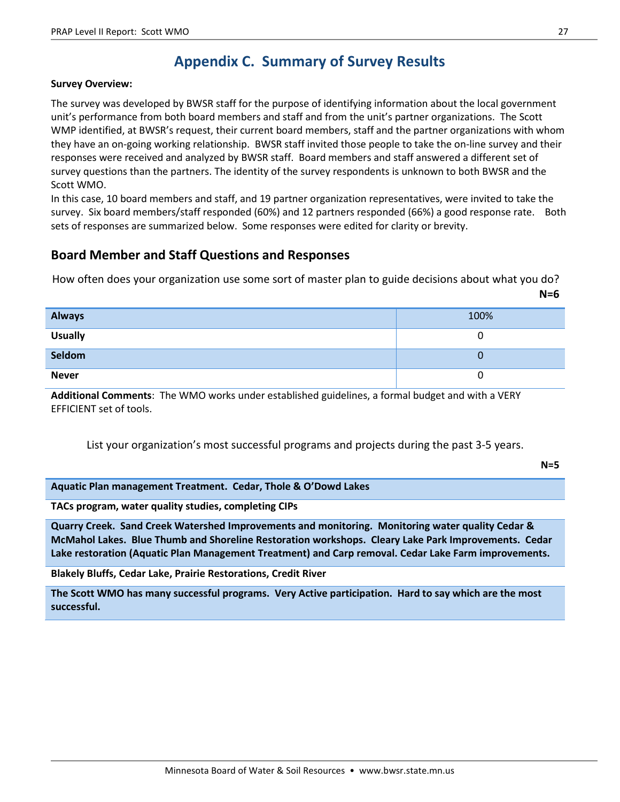## **Appendix C. Summary of Survey Results**

#### <span id="page-30-0"></span>**Survey Overview:**

The survey was developed by BWSR staff for the purpose of identifying information about the local government unit's performance from both board members and staff and from the unit's partner organizations. The Scott WMP identified, at BWSR's request, their current board members, staff and the partner organizations with whom they have an on-going working relationship. BWSR staff invited those people to take the on-line survey and their responses were received and analyzed by BWSR staff. Board members and staff answered a different set of survey questions than the partners. The identity of the survey respondents is unknown to both BWSR and the Scott WMO.

In this case, 10 board members and staff, and 19 partner organization representatives, were invited to take the survey. Six board members/staff responded (60%) and 12 partners responded (66%) a good response rate. Both sets of responses are summarized below. Some responses were edited for clarity or brevity.

#### **Board Member and Staff Questions and Responses**

How often does your organization use some sort of master plan to guide decisions about what you do?

| <b>Always</b>  | 100% |
|----------------|------|
| <b>Usually</b> | U    |
| Seldom         | υ    |
| <b>Never</b>   | U    |

**Additional Comments**: The WMO works under established guidelines, a formal budget and with a VERY EFFICIENT set of tools.

List your organization's most successful programs and projects during the past 3-5 years.

**N=5**

**N=6**

**Aquatic Plan management Treatment. Cedar, Thole & O'Dowd Lakes**

**TACs program, water quality studies, completing CIPs**

**Quarry Creek. Sand Creek Watershed Improvements and monitoring. Monitoring water quality Cedar & McMahol Lakes. Blue Thumb and Shoreline Restoration workshops. Cleary Lake Park Improvements. Cedar Lake restoration (Aquatic Plan Management Treatment) and Carp removal. Cedar Lake Farm improvements.** 

**Blakely Bluffs, Cedar Lake, Prairie Restorations, Credit River**

**The Scott WMO has many successful programs. Very Active participation. Hard to say which are the most successful.**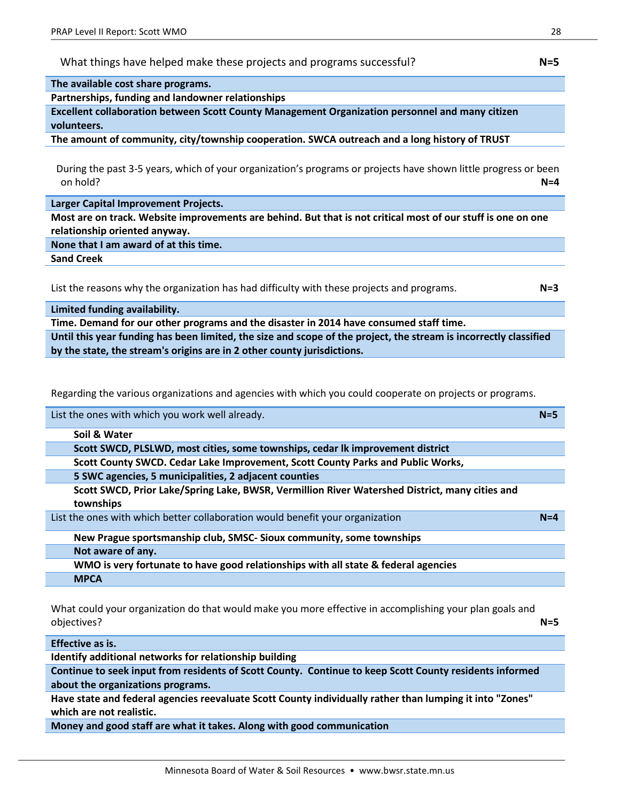#### What things have helped make these projects and programs successful? **N=5**

**The available cost share programs.**

**Partnerships, funding and landowner relationships**

**Excellent collaboration between Scott County Management Organization personnel and many citizen volunteers.**

**The amount of community, city/township cooperation. SWCA outreach and a long history of TRUST**

During the past 3-5 years, which of your organization's programs or projects have shown little progress or been on hold? **N=4**

**Larger Capital Improvement Projects.**

**Most are on track. Website improvements are behind. But that is not critical most of our stuff is one on one relationship oriented anyway.**

**None that I am award of at this time.**

**Sand Creek**

List the reasons why the organization has had difficulty with these projects and programs. **N=3**

**Limited funding availability.**

**Time. Demand for our other programs and the disaster in 2014 have consumed staff time. Until this year funding has been limited, the size and scope of the project, the stream is incorrectly classified by the state, the stream's origins are in 2 other county jurisdictions.**

Regarding the various organizations and agencies with which you could cooperate on projects or programs.

| List the ones with which you work well already.                                                | $N = 5$ |
|------------------------------------------------------------------------------------------------|---------|
| Soil & Water                                                                                   |         |
| Scott SWCD, PLSLWD, most cities, some townships, cedar Ik improvement district                 |         |
| Scott County SWCD. Cedar Lake Improvement, Scott County Parks and Public Works,                |         |
| 5 SWC agencies, 5 municipalities, 2 adjacent counties                                          |         |
| Scott SWCD, Prior Lake/Spring Lake, BWSR, Vermillion River Watershed District, many cities and |         |
| townships                                                                                      |         |
| List the ones with which better collaboration would benefit your organization                  | $N = 4$ |
| New Prague sportsmanship club, SMSC- Sioux community, some townships                           |         |
| Not aware of any.                                                                              |         |
| WMO is very fortunate to have good relationships with all state & federal agencies             |         |
| <b>MPCA</b>                                                                                    |         |
|                                                                                                |         |

What could your organization do that would make you more effective in accomplishing your plan goals and objectives? **N=5**

**Effective as is.**

**Identify additional networks for relationship building**

**Continue to seek input from residents of Scott County. Continue to keep Scott County residents informed about the organizations programs.**

**Have state and federal agencies reevaluate Scott County individually rather than lumping it into "Zones" which are not realistic.**

**Money and good staff are what it takes. Along with good communication**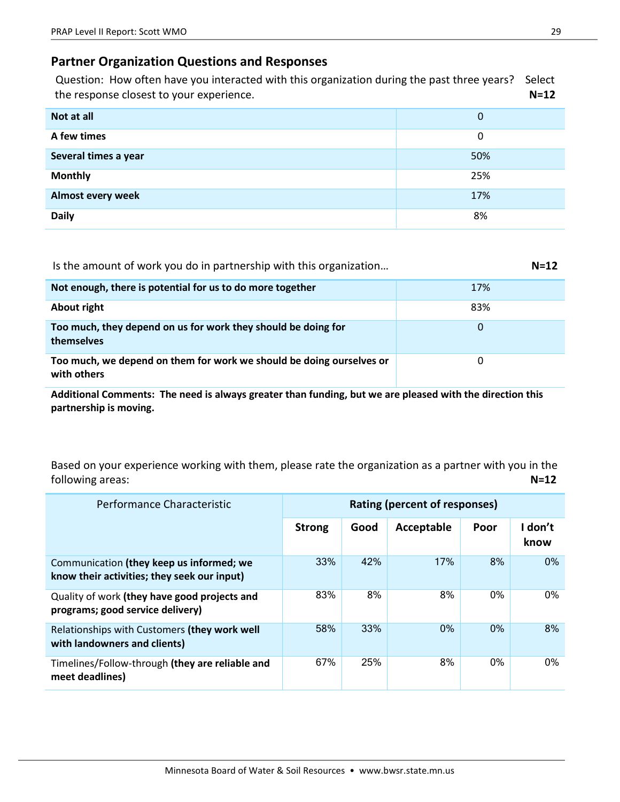#### **Partner Organization Questions and Responses**

Question: How often have you interacted with this organization during the past three years? Select the response closest to your experience. **N=12**

| Not at all           | 0   |
|----------------------|-----|
| A few times          | 0   |
| Several times a year | 50% |
| <b>Monthly</b>       | 25% |
| Almost every week    | 17% |
| <b>Daily</b>         | 8%  |

| Is the amount of work you do in partnership with this organization                  | $N=12$ |
|-------------------------------------------------------------------------------------|--------|
| Not enough, there is potential for us to do more together                           | 17%    |
| About right                                                                         | 83%    |
| Too much, they depend on us for work they should be doing for<br>themselves         | 0      |
| Too much, we depend on them for work we should be doing ourselves or<br>with others | 0      |

**Additional Comments: The need is always greater than funding, but we are pleased with the direction this partnership is moving.**

Based on your experience working with them, please rate the organization as a partner with you in the following areas: **N=12**

| Performance Characteristic                                                              | Rating (percent of responses) |      |            |       |                 |  |  |
|-----------------------------------------------------------------------------------------|-------------------------------|------|------------|-------|-----------------|--|--|
|                                                                                         | <b>Strong</b>                 | Good | Acceptable | Poor  | I don't<br>know |  |  |
| Communication (they keep us informed; we<br>know their activities; they seek our input) | 33%                           | 42%  | 17%        | 8%    | $0\%$           |  |  |
| Quality of work (they have good projects and<br>programs; good service delivery)        | 83%                           | 8%   | 8%         | $0\%$ | $0\%$           |  |  |
| Relationships with Customers (they work well<br>with landowners and clients)            | 58%                           | 33%  | 0%         | $0\%$ | 8%              |  |  |
| Timelines/Follow-through (they are reliable and<br>meet deadlines)                      | 67%                           | 25%  | 8%         | $0\%$ | $0\%$           |  |  |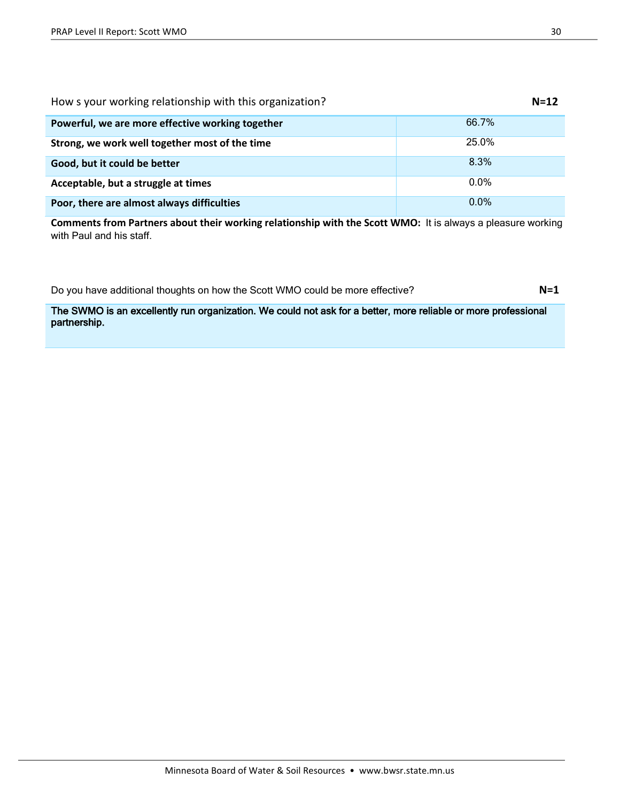| How s your working relationship with this organization? | $N=12$  |
|---------------------------------------------------------|---------|
| Powerful, we are more effective working together        | 66.7%   |
| Strong, we work well together most of the time          | 25.0%   |
| Good, but it could be better                            | 8.3%    |
| Acceptable, but a struggle at times                     | $0.0\%$ |
| Poor, there are almost always difficulties              | 0.0%    |

**Comments from Partners about their working relationship with the Scott WMO:** It is always a pleasure working with Paul and his staff.

Do you have additional thoughts on how the Scott WMO could be more effective? **N=1**

The SWMO is an excellently run organization. We could not ask for a better, more reliable or more professional partnership.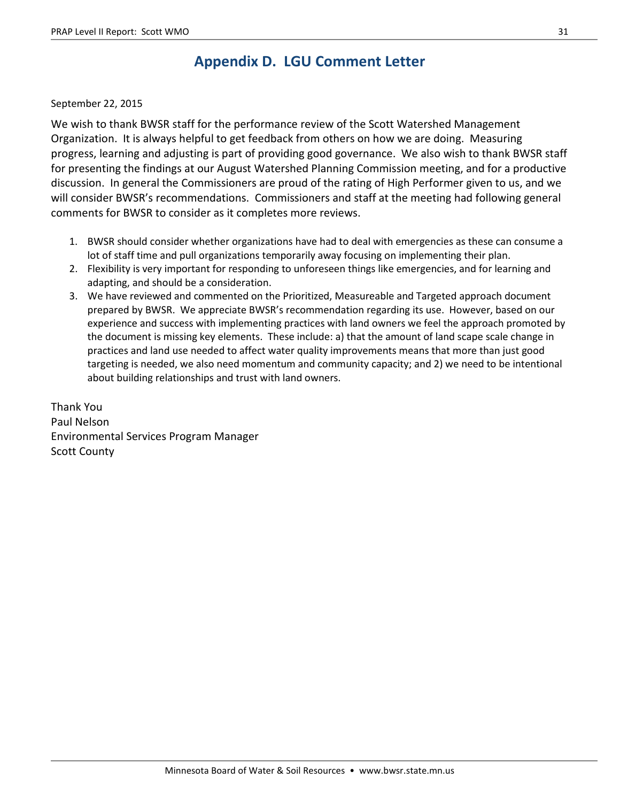## **Appendix D. LGU Comment Letter**

#### <span id="page-34-0"></span>September 22, 2015

We wish to thank BWSR staff for the performance review of the Scott Watershed Management Organization. It is always helpful to get feedback from others on how we are doing. Measuring progress, learning and adjusting is part of providing good governance. We also wish to thank BWSR staff for presenting the findings at our August Watershed Planning Commission meeting, and for a productive discussion. In general the Commissioners are proud of the rating of High Performer given to us, and we will consider BWSR's recommendations. Commissioners and staff at the meeting had following general comments for BWSR to consider as it completes more reviews.

- 1. BWSR should consider whether organizations have had to deal with emergencies as these can consume a lot of staff time and pull organizations temporarily away focusing on implementing their plan.
- 2. Flexibility is very important for responding to unforeseen things like emergencies, and for learning and adapting, and should be a consideration.
- 3. We have reviewed and commented on the Prioritized, Measureable and Targeted approach document prepared by BWSR. We appreciate BWSR's recommendation regarding its use. However, based on our experience and success with implementing practices with land owners we feel the approach promoted by the document is missing key elements. These include: a) that the amount of land scape scale change in practices and land use needed to affect water quality improvements means that more than just good targeting is needed, we also need momentum and community capacity; and 2) we need to be intentional about building relationships and trust with land owners.

Thank You Paul Nelson Environmental Services Program Manager Scott County